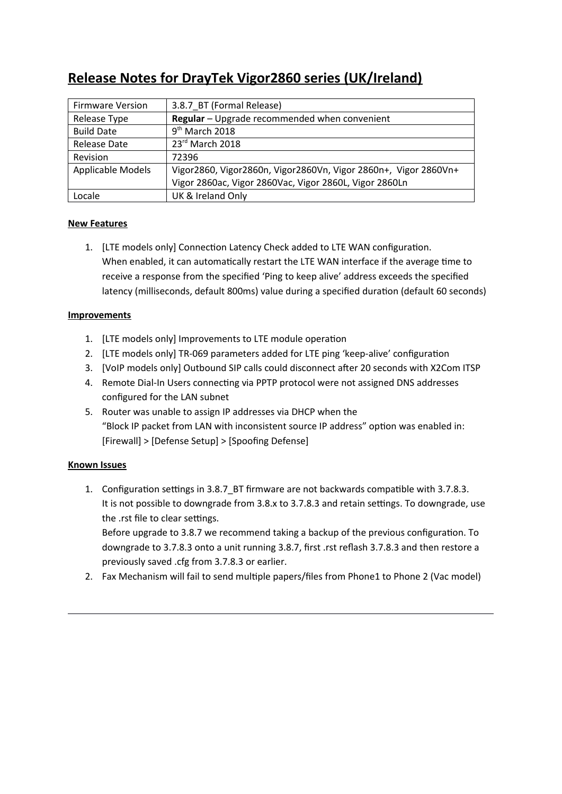# **Release Notes for DrayTek Vigor2860 series (UK/Ireland)**

| <b>Firmware Version</b>  | 3.8.7 BT (Formal Release)                                       |
|--------------------------|-----------------------------------------------------------------|
| Release Type             | Regular - Upgrade recommended when convenient                   |
| <b>Build Date</b>        | $9th$ March 2018                                                |
| <b>Release Date</b>      | 23rd March 2018                                                 |
| Revision                 | 72396                                                           |
| <b>Applicable Models</b> | Vigor2860, Vigor2860n, Vigor2860Vn, Vigor 2860n+, Vigor 2860Vn+ |
|                          | Vigor 2860ac, Vigor 2860Vac, Vigor 2860L, Vigor 2860Ln          |
| Locale                   | UK & Ireland Only                                               |

# **New Features**

1. [LTE models only] Connection Latency Check added to LTE WAN configuration. When enabled, it can automatically restart the LTE WAN interface if the average time to receive a response from the specified 'Ping to keep alive' address exceeds the specified latency (milliseconds, default 800ms) value during a specified duration (default 60 seconds)

# **Improvements**

- 1. [LTE models only] Improvements to LTE module operaton
- 2. [LTE models only] TR-069 parameters added for LTE ping 'keep-alive' configuration
- 3. [VoIP models only] Outbound SIP calls could disconnect after 20 seconds with X2Com ITSP
- 4. Remote Dial-In Users connecting via PPTP protocol were not assigned DNS addresses confgured for the LAN subnet
- 5. Router was unable to assign IP addresses via DHCP when the "Block IP packet from LAN with inconsistent source IP address" option was enabled in: [Firewall] > [Defense Setup] > [Spoofng Defense]

# **Known Issues**

1. Configuration settings in 3.8.7 BT firmware are not backwards compatible with 3.7.8.3. It is not possible to downgrade from 3.8.x to 3.7.8.3 and retain settings. To downgrade, use the .rst file to clear settings.

Before upgrade to 3.8.7 we recommend taking a backup of the previous confguraton. To downgrade to 3.7.8.3 onto a unit running 3.8.7, first .rst reflash 3.7.8.3 and then restore a previously saved .cfg from 3.7.8.3 or earlier.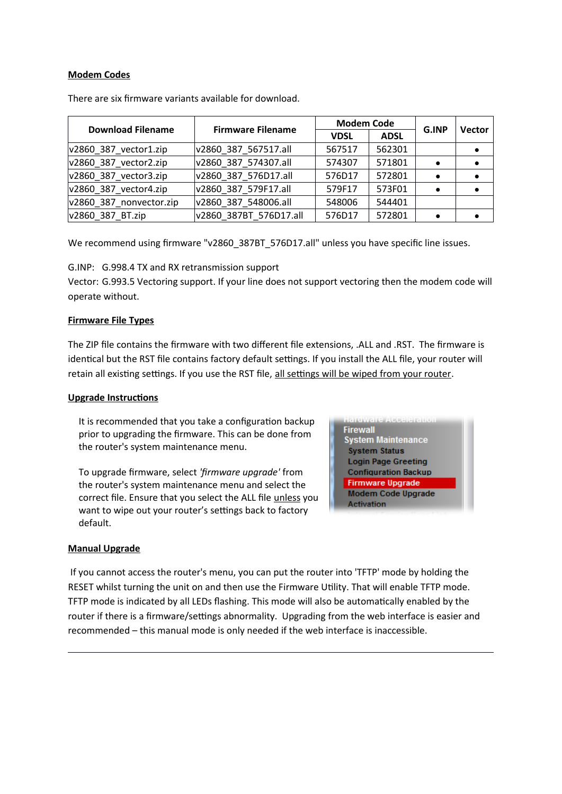## **Modem Codes**

| <b>Download Filename</b> | <b>Firmware Filename</b> | <b>Modem Code</b> |             | G.INP | <b>Vector</b> |
|--------------------------|--------------------------|-------------------|-------------|-------|---------------|
|                          |                          | <b>VDSL</b>       | <b>ADSL</b> |       |               |
| $v2860$ 387 vector1.zip  | v2860 387 567517.all     | 567517            | 562301      |       | $\bullet$     |
| $v2860$ 387 vector2.zip  | v2860 387 574307.all     | 574307            | 571801      |       | $\bullet$     |
| $v2860$ 387 vector3.zip  | v2860 387 576D17.all     | 576D17            | 572801      |       | $\bullet$     |
| $v2860$ 387 vector4.zip  | v2860 387 579F17.all     | 579F17            | 573F01      |       | $\bullet$     |
| v2860 387 nonvector.zip  | v2860 387 548006.all     | 548006            | 544401      |       |               |
| v2860 387 BT.zip         | v2860 387BT 576D17.all   | 576D17            | 572801      |       |               |

There are six frmware variants available for download.

We recommend using firmware "v2860\_387BT\_576D17.all" unless you have specific line issues.

G.INP: G.998.4 TX and RX retransmission support

Vector: G.993.5 Vectoring support. If your line does not support vectoring then the modem code will operate without.

## **Firmware File Types**

The ZIP file contains the firmware with two different file extensions, .ALL and .RST. The firmware is identical but the RST file contains factory default settings. If you install the ALL file, your router will retain all existing settings. If you use the RST file, all settings will be wiped from your router.

#### **Upgrade Instructions**

It is recommended that you take a configuration backup prior to upgrading the frmware. This can be done from the router's system maintenance menu.

To upgrade firmware, select 'firmware upgrade' from the router's system maintenance menu and select the correct file. Ensure that you select the ALL file unless you want to wipe out your router's settings back to factory default.

**Firewall System Maintenance System Status Login Page Greeting Configuration Backup Firmware Upgrade Modem Code Upgrade Activation** 

#### **Manual Upgrade**

If you cannot access the router's menu, you can put the router into 'TFTP' mode by holding the RESET whilst turning the unit on and then use the Firmware Utility. That will enable TFTP mode. TFTP mode is indicated by all LEDs flashing. This mode will also be automatically enabled by the router if there is a firmware/settings abnormality. Upgrading from the web interface is easier and recommended – this manual mode is only needed if the web interface is inaccessible.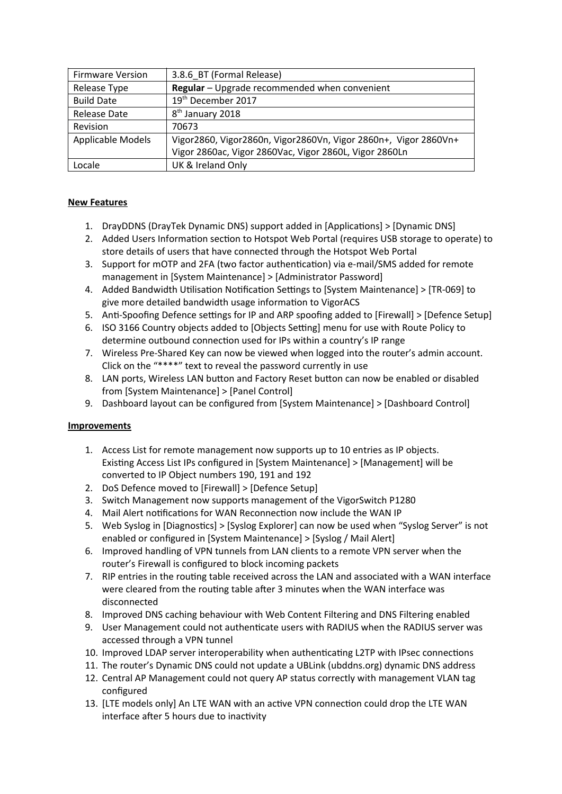| <b>Firmware Version</b> | 3.8.6_BT (Formal Release)                                       |
|-------------------------|-----------------------------------------------------------------|
| Release Type            | Regular - Upgrade recommended when convenient                   |
| <b>Build Date</b>       | 19 <sup>th</sup> December 2017                                  |
| <b>Release Date</b>     | 8 <sup>th</sup> January 2018                                    |
| Revision                | 70673                                                           |
| Applicable Models       | Vigor2860, Vigor2860n, Vigor2860Vn, Vigor 2860n+, Vigor 2860Vn+ |
|                         | Vigor 2860ac, Vigor 2860Vac, Vigor 2860L, Vigor 2860Ln          |
| Locale                  | UK & Ireland Only                                               |

- 1. DrayDDNS (DrayTek Dynamic DNS) support added in [Applicatons] > [Dynamic DNS]
- 2. Added Users Information section to Hotspot Web Portal (requires USB storage to operate) to store details of users that have connected through the Hotspot Web Portal
- 3. Support for mOTP and 2FA (two factor authentication) via e-mail/SMS added for remote management in [System Maintenance] > [Administrator Password]
- 4. Added Bandwidth Utilisation Notification Settings to [System Maintenance] > [TR-069] to give more detailed bandwidth usage information to VigorACS
- 5. Anti-Spoofing Defence settings for IP and ARP spoofing added to [Firewall] > [Defence Setup]
- 6. ISO 3166 Country objects added to [Objects Setting] menu for use with Route Policy to determine outbound connection used for IPs within a country's IP range
- 7. Wireless Pre-Shared Key can now be viewed when logged into the router's admin account. Click on the "\*\*\*\*" text to reveal the password currently in use
- 8. LAN ports, Wireless LAN button and Factory Reset button can now be enabled or disabled from [System Maintenance] > [Panel Control]
- 9. Dashboard layout can be confgured from [System Maintenance] > [Dashboard Control]

- 1. Access List for remote management now supports up to 10 entries as IP objects. Existing Access List IPs configured in [System Maintenance] > [Management] will be converted to IP Object numbers 190, 191 and 192
- 2. DoS Defence moved to [Firewall] > [Defence Setup]
- 3. Switch Management now supports management of the VigorSwitch P1280
- 4. Mail Alert notifications for WAN Reconnection now include the WAN IP
- 5. Web Syslog in [Diagnostics] > [Syslog Explorer] can now be used when "Syslog Server" is not enabled or confgured in [System Maintenance] > [Syslog / Mail Alert]
- 6. Improved handling of VPN tunnels from LAN clients to a remote VPN server when the router's Firewall is confgured to block incoming packets
- 7. RIP entries in the routing table received across the LAN and associated with a WAN interface were cleared from the routing table after 3 minutes when the WAN interface was disconnected
- 8. Improved DNS caching behaviour with Web Content Filtering and DNS Filtering enabled
- 9. User Management could not authenticate users with RADIUS when the RADIUS server was accessed through a VPN tunnel
- 10. Improved LDAP server interoperability when authenticating L2TP with IPsec connections
- 11. The router's Dynamic DNS could not update a UBLink (ubddns.org) dynamic DNS address
- 12. Central AP Management could not query AP status correctly with management VLAN tag configured
- 13. [LTE models only] An LTE WAN with an active VPN connection could drop the LTE WAN interface after 5 hours due to inactivity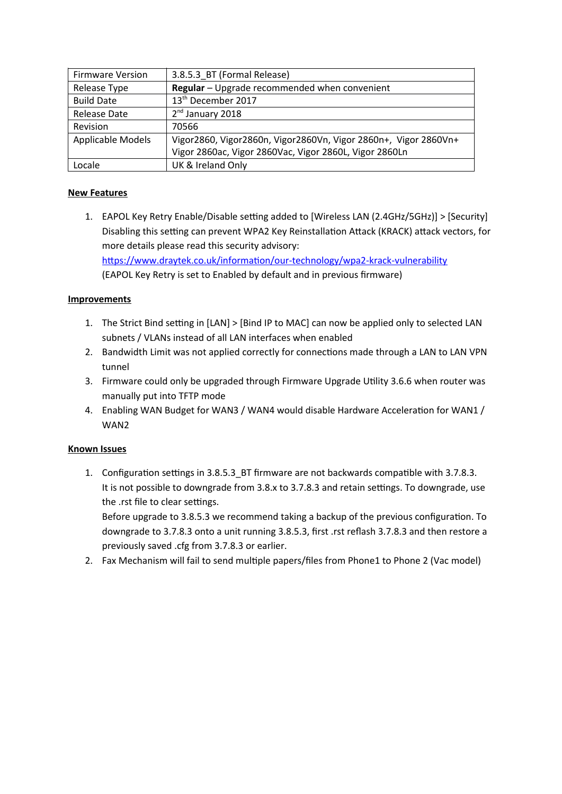| <b>Firmware Version</b> | 3.8.5.3 BT (Formal Release)                                     |
|-------------------------|-----------------------------------------------------------------|
| Release Type            | Regular - Upgrade recommended when convenient                   |
| <b>Build Date</b>       | 13 <sup>th</sup> December 2017                                  |
| <b>Release Date</b>     | $2nd$ January 2018                                              |
| Revision                | 70566                                                           |
| Applicable Models       | Vigor2860, Vigor2860n, Vigor2860Vn, Vigor 2860n+, Vigor 2860Vn+ |
|                         | Vigor 2860ac, Vigor 2860Vac, Vigor 2860L, Vigor 2860Ln          |
| Locale                  | UK & Ireland Only                                               |

1. EAPOL Key Retry Enable/Disable setting added to [Wireless LAN (2.4GHz/5GHz)] > [Security] Disabling this setting can prevent WPA2 Key Reinstallation Attack (KRACK) attack vectors, for more details please read this security advisory: https://www.draytek.co.uk/information/our-technology/wpa2-krack-vulnerability (EAPOL Key Retry is set to Enabled by default and in previous firmware)

## **Improvements**

- 1. The Strict Bind setting in [LAN] > [Bind IP to MAC] can now be applied only to selected LAN subnets / VLANs instead of all LAN interfaces when enabled
- 2. Bandwidth Limit was not applied correctly for connections made through a LAN to LAN VPN tunnel
- 3. Firmware could only be upgraded through Firmware Upgrade Utlity 3.6.6 when router was manually put into TFTP mode
- 4. Enabling WAN Budget for WAN3 / WAN4 would disable Hardware Acceleration for WAN1 / WAN2

# **Known Issues**

1. Configuration settings in 3.8.5.3\_BT firmware are not backwards compatible with 3.7.8.3. It is not possible to downgrade from 3.8.x to 3.7.8.3 and retain settings. To downgrade, use the .rst file to clear settings.

Before upgrade to 3.8.5.3 we recommend taking a backup of the previous confguraton. To downgrade to 3.7.8.3 onto a unit running 3.8.5.3, first .rst reflash 3.7.8.3 and then restore a previously saved .cfg from 3.7.8.3 or earlier.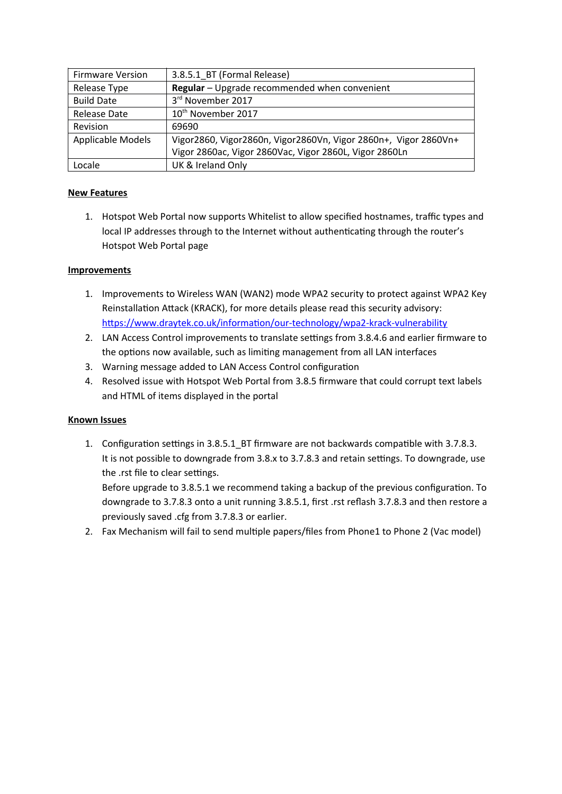| <b>Firmware Version</b> | 3.8.5.1 BT (Formal Release)                                     |
|-------------------------|-----------------------------------------------------------------|
| Release Type            | Regular - Upgrade recommended when convenient                   |
| <b>Build Date</b>       | 3rd November 2017                                               |
| <b>Release Date</b>     | 10 <sup>th</sup> November 2017                                  |
| Revision                | 69690                                                           |
| Applicable Models       | Vigor2860, Vigor2860n, Vigor2860Vn, Vigor 2860n+, Vigor 2860Vn+ |
|                         | Vigor 2860ac, Vigor 2860Vac, Vigor 2860L, Vigor 2860Ln          |
| Locale                  | UK & Ireland Only                                               |

1. Hotspot Web Portal now supports Whitelist to allow specified hostnames, traffic types and local IP addresses through to the Internet without authenticating through the router's Hotspot Web Portal page

# **Improvements**

- 1. Improvements to Wireless WAN (WAN2) mode WPA2 security to protect against WPA2 Key Reinstallation Attack (KRACK), for more details please read this security advisory: https://www.draytek.co.uk/information/our-technology/wpa2-krack-vulnerability
- 2. LAN Access Control improvements to translate settings from 3.8.4.6 and earlier firmware to the options now available, such as limiting management from all LAN interfaces
- 3. Warning message added to LAN Access Control configuration
- 4. Resolved issue with Hotspot Web Portal from 3.8.5 firmware that could corrupt text labels and HTML of items displayed in the portal

# **Known Issues**

1. Configuration settings in 3.8.5.1\_BT firmware are not backwards compatible with 3.7.8.3. It is not possible to downgrade from 3.8.x to 3.7.8.3 and retain settings. To downgrade, use the .rst file to clear settings.

Before upgrade to 3.8.5.1 we recommend taking a backup of the previous confguraton. To downgrade to 3.7.8.3 onto a unit running 3.8.5.1, first .rst reflash 3.7.8.3 and then restore a previously saved .cfg from 3.7.8.3 or earlier.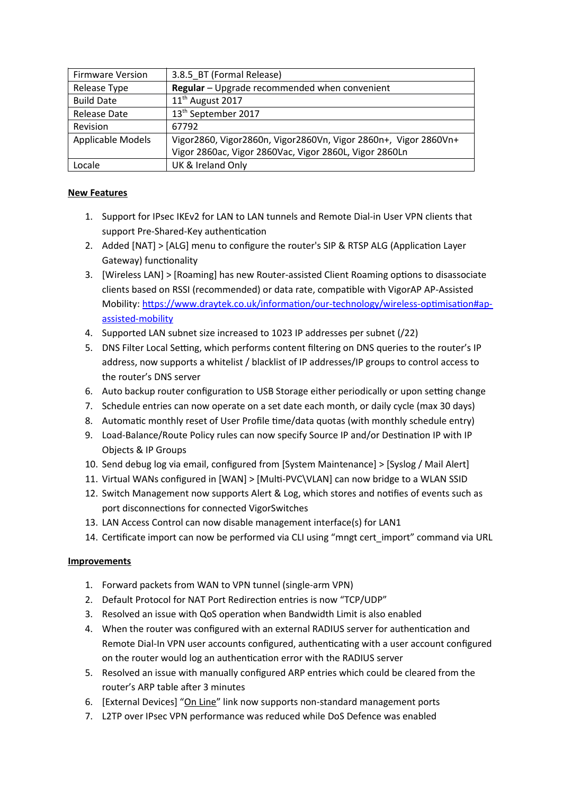| <b>Firmware Version</b> | 3.8.5 BT (Formal Release)                                       |
|-------------------------|-----------------------------------------------------------------|
| Release Type            | Regular - Upgrade recommended when convenient                   |
| <b>Build Date</b>       | 11 <sup>th</sup> August 2017                                    |
| <b>Release Date</b>     | 13 <sup>th</sup> September 2017                                 |
| Revision                | 67792                                                           |
| Applicable Models       | Vigor2860, Vigor2860n, Vigor2860Vn, Vigor 2860n+, Vigor 2860Vn+ |
|                         | Vigor 2860ac, Vigor 2860Vac, Vigor 2860L, Vigor 2860Ln          |
| Locale                  | UK & Ireland Only                                               |

- 1. Support for IPsec IKEv2 for LAN to LAN tunnels and Remote Dial-in User VPN clients that support Pre-Shared-Key authentication
- 2. Added [NAT] > [ALG] menu to configure the router's SIP & RTSP ALG (Application Layer Gateway) functionality
- 3. [Wireless LAN] > [Roaming] has new Router-assisted Client Roaming optons to disassociate clients based on RSSI (recommended) or data rate, compatible with VigorAP AP-Assisted Mobility: https://www.draytek.co.uk/information/our-technology/wireless-optimisation#ap[assisted-mobility](https://www.draytek.co.uk/information/our-technology/wireless-optimisation#ap-assisted-mobility)
- 4. Supported LAN subnet size increased to 1023 IP addresses per subnet (/22)
- 5. DNS Filter Local Setting, which performs content filtering on DNS queries to the router's IP address, now supports a whitelist / blacklist of IP addresses/IP groups to control access to the router's DNS server
- 6. Auto backup router configuration to USB Storage either periodically or upon setting change
- 7. Schedule entries can now operate on a set date each month, or daily cycle (max 30 days)
- 8. Automatic monthly reset of User Profile time/data quotas (with monthly schedule entry)
- 9. Load-Balance/Route Policy rules can now specify Source IP and/or Destination IP with IP Objects & IP Groups
- 10. Send debug log via email, confgured from [System Maintenance] > [Syslog / Mail Alert]
- 11. Virtual WANs configured in [WAN] > [Multi-PVC\VLAN] can now bridge to a WLAN SSID
- 12. Switch Management now supports Alert & Log, which stores and notifies of events such as port disconnections for connected VigorSwitches
- 13. LAN Access Control can now disable management interface(s) for LAN1
- 14. Certificate import can now be performed via CLI using "mngt cert\_import" command via URL

- 1. Forward packets from WAN to VPN tunnel (single-arm VPN)
- 2. Default Protocol for NAT Port Redirection entries is now "TCP/UDP"
- 3. Resolved an issue with QoS operaton when Bandwidth Limit is also enabled
- 4. When the router was confgured with an external RADIUS server for authentcaton and Remote Dial-In VPN user accounts configured, authenticating with a user account configured on the router would log an authentication error with the RADIUS server
- 5. Resolved an issue with manually configured ARP entries which could be cleared from the router's ARP table after 3 minutes
- 6. [External Devices] "On Line" link now supports non-standard management ports
- 7. L2TP over IPsec VPN performance was reduced while DoS Defence was enabled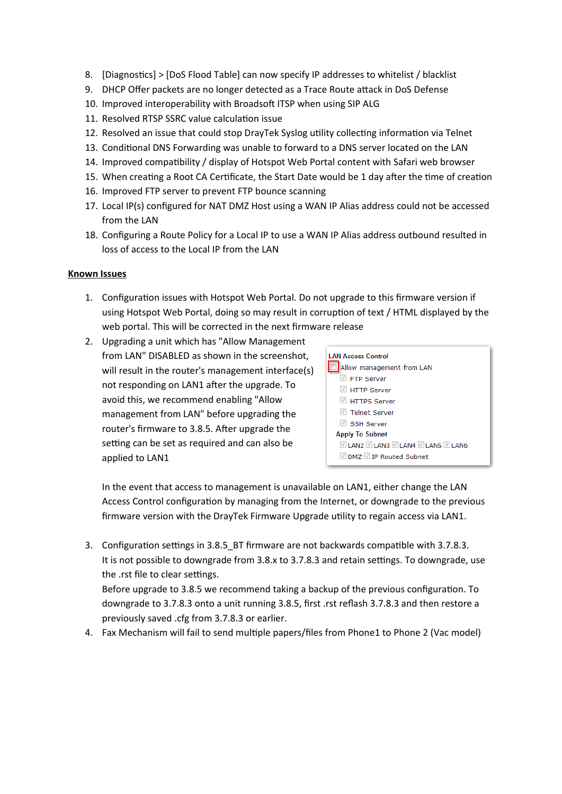- 8. [Diagnostics] > [DoS Flood Table] can now specify IP addresses to whitelist / blacklist
- 9. DHCP Offer packets are no longer detected as a Trace Route attack in DoS Defense
- 10. Improved interoperability with Broadsoft ITSP when using SIP ALG
- 11. Resolved RTSP SSRC value calculation issue
- 12. Resolved an issue that could stop DrayTek Syslog utlity collectng informaton via Telnet
- 13. Conditonal DNS Forwarding was unable to forward to a DNS server located on the LAN
- 14. Improved compatibility / display of Hotspot Web Portal content with Safari web browser
- 15. When creating a Root CA Certificate, the Start Date would be 1 day after the time of creation
- 16. Improved FTP server to prevent FTP bounce scanning
- 17. Local IP(s) configured for NAT DMZ Host using a WAN IP Alias address could not be accessed from the LAN
- 18. Configuring a Route Policy for a Local IP to use a WAN IP Alias address outbound resulted in loss of access to the Local IP from the LAN

#### **Known Issues**

- 1. Configuration issues with Hotspot Web Portal. Do not upgrade to this firmware version if using Hotspot Web Portal, doing so may result in corruption of text / HTML displayed by the web portal. This will be corrected in the next firmware release
- 2. Upgrading a unit which has "Allow Management from LAN" DISABLED as shown in the screenshot, will result in the router's management interface(s) not responding on LAN1 after the upgrade. To avoid this, we recommend enabling "Allow management from LAN" before upgrading the router's firmware to 3.8.5. After upgrade the setting can be set as required and can also be applied to LAN1



In the event that access to management is unavailable on LAN1, either change the LAN Access Control confguraton by managing from the Internet, or downgrade to the previous frmware version with the DrayTek Firmware Upgrade utlity to regain access via LAN1.

3. Configuration settings in 3.8.5\_BT firmware are not backwards compatible with 3.7.8.3. It is not possible to downgrade from 3.8.x to 3.7.8.3 and retain settings. To downgrade, use the .rst file to clear settings. Before upgrade to 3.8.5 we recommend taking a backup of the previous confguraton. To

downgrade to 3.7.8.3 onto a unit running 3.8.5, first .rst reflash 3.7.8.3 and then restore a previously saved .cfg from 3.7.8.3 or earlier.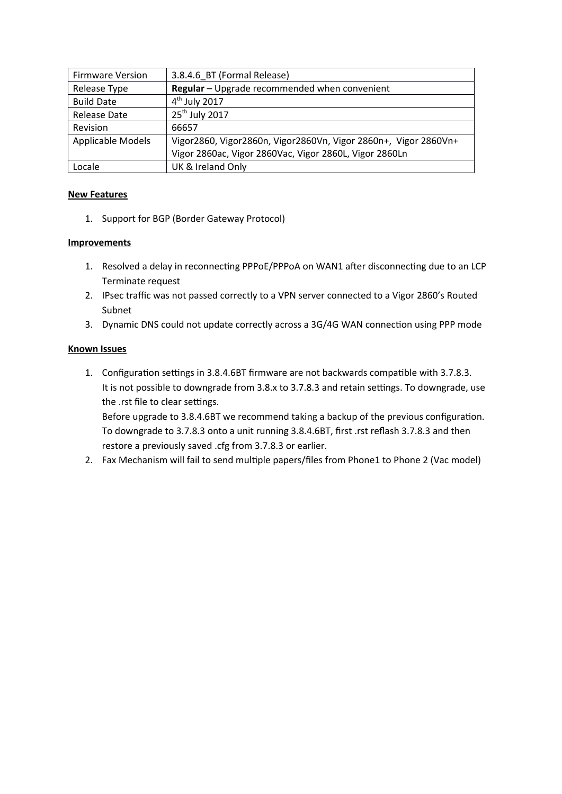| <b>Firmware Version</b> | 3.8.4.6 BT (Formal Release)                                     |
|-------------------------|-----------------------------------------------------------------|
| Release Type            | Regular - Upgrade recommended when convenient                   |
| <b>Build Date</b>       | 4 <sup>th</sup> July 2017                                       |
| <b>Release Date</b>     | 25 <sup>th</sup> July 2017                                      |
| Revision                | 66657                                                           |
| Applicable Models       | Vigor2860, Vigor2860n, Vigor2860Vn, Vigor 2860n+, Vigor 2860Vn+ |
|                         | Vigor 2860ac, Vigor 2860Vac, Vigor 2860L, Vigor 2860Ln          |
| Locale                  | UK & Ireland Only                                               |

1. Support for BGP (Border Gateway Protocol)

## **Improvements**

- 1. Resolved a delay in reconnecting PPPoE/PPPoA on WAN1 after disconnecting due to an LCP Terminate request
- 2. IPsec traffic was not passed correctly to a VPN server connected to a Vigor 2860's Routed Subnet
- 3. Dynamic DNS could not update correctly across a 3G/4G WAN connection using PPP mode

## **Known Issues**

1. Configuration settings in 3.8.4.6BT firmware are not backwards compatible with 3.7.8.3. It is not possible to downgrade from 3.8.x to 3.7.8.3 and retain settings. To downgrade, use the .rst file to clear settings.

Before upgrade to 3.8.4.6BT we recommend taking a backup of the previous confguraton. To downgrade to 3.7.8.3 onto a unit running 3.8.4.6BT, first .rst reflash 3.7.8.3 and then restore a previously saved .cfg from 3.7.8.3 or earlier.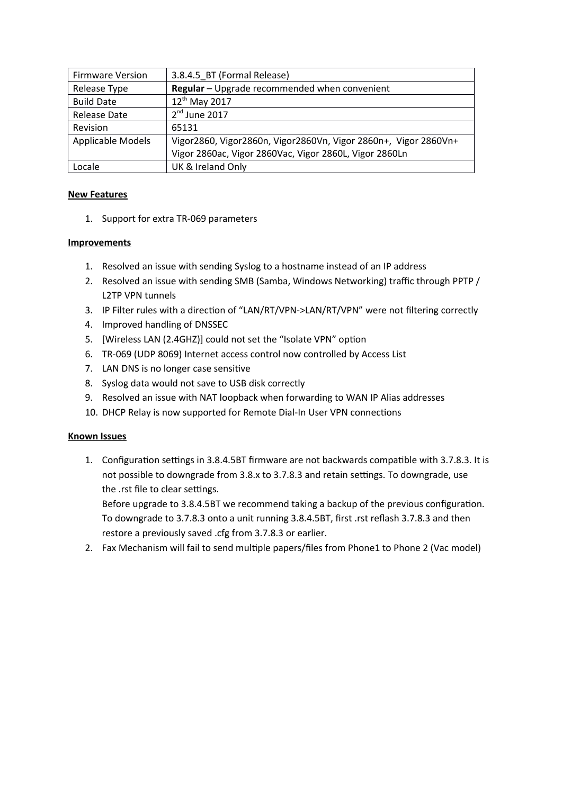| <b>Firmware Version</b> | 3.8.4.5 BT (Formal Release)                                     |
|-------------------------|-----------------------------------------------------------------|
| Release Type            | Regular - Upgrade recommended when convenient                   |
| <b>Build Date</b>       | 12 <sup>th</sup> May 2017                                       |
| <b>Release Date</b>     | $2nd$ June 2017                                                 |
| Revision                | 65131                                                           |
| Applicable Models       | Vigor2860, Vigor2860n, Vigor2860Vn, Vigor 2860n+, Vigor 2860Vn+ |
|                         | Vigor 2860ac, Vigor 2860Vac, Vigor 2860L, Vigor 2860Ln          |
| Locale                  | UK & Ireland Only                                               |

1. Support for extra TR-069 parameters

## **Improvements**

- 1. Resolved an issue with sending Syslog to a hostname instead of an IP address
- 2. Resolved an issue with sending SMB (Samba, Windows Networking) traffic through PPTP / L2TP VPN tunnels
- 3. IP Filter rules with a direction of "LAN/RT/VPN->LAN/RT/VPN" were not filtering correctly
- 4. Improved handling of DNSSEC
- 5. [Wireless LAN (2.4GHZ)] could not set the "Isolate VPN" option
- 6. TR-069 (UDP 8069) Internet access control now controlled by Access List
- 7. LAN DNS is no longer case sensitve
- 8. Syslog data would not save to USB disk correctly
- 9. Resolved an issue with NAT loopback when forwarding to WAN IP Alias addresses
- 10. DHCP Relay is now supported for Remote Dial-In User VPN connections

# **Known Issues**

1. Configuration settings in 3.8.4.5BT firmware are not backwards compatible with 3.7.8.3. It is not possible to downgrade from 3.8.x to 3.7.8.3 and retain settings. To downgrade, use the .rst file to clear settings.

Before upgrade to 3.8.4.5BT we recommend taking a backup of the previous confguraton. To downgrade to 3.7.8.3 onto a unit running 3.8.4.5BT, first .rst reflash 3.7.8.3 and then restore a previously saved .cfg from 3.7.8.3 or earlier.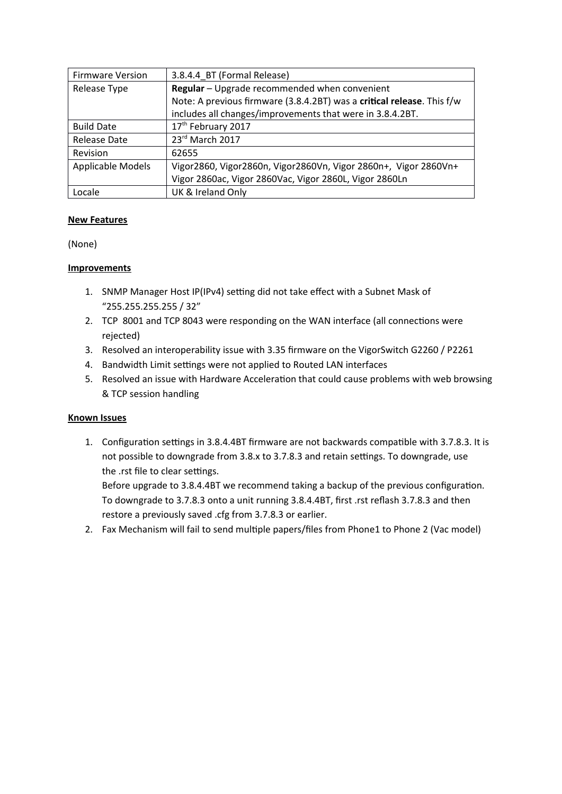| <b>Firmware Version</b> | 3.8.4.4 BT (Formal Release)                                            |
|-------------------------|------------------------------------------------------------------------|
| Release Type            | Regular - Upgrade recommended when convenient                          |
|                         | Note: A previous firmware (3.8.4.2BT) was a critical release. This f/w |
|                         | includes all changes/improvements that were in 3.8.4.2BT.              |
| <b>Build Date</b>       | 17 <sup>th</sup> February 2017                                         |
| Release Date            | 23rd March 2017                                                        |
| Revision                | 62655                                                                  |
| Applicable Models       | Vigor2860, Vigor2860n, Vigor2860Vn, Vigor 2860n+, Vigor 2860Vn+        |
|                         | Vigor 2860ac, Vigor 2860Vac, Vigor 2860L, Vigor 2860Ln                 |
| Locale                  | UK & Ireland Only                                                      |

(None)

## **Improvements**

- 1. SNMP Manager Host IP(IPv4) setting did not take effect with a Subnet Mask of "255.255.255.255 / 32"
- 2. TCP 8001 and TCP 8043 were responding on the WAN interface (all connections were rejected)
- 3. Resolved an interoperability issue with 3.35 firmware on the VigorSwitch G2260 / P2261
- 4. Bandwidth Limit settings were not applied to Routed LAN interfaces
- 5. Resolved an issue with Hardware Acceleration that could cause problems with web browsing & TCP session handling

#### **Known Issues**

1. Configuration settings in 3.8.4.4BT firmware are not backwards compatible with 3.7.8.3. It is not possible to downgrade from 3.8.x to 3.7.8.3 and retain settings. To downgrade, use the .rst file to clear settings.

Before upgrade to 3.8.4.4BT we recommend taking a backup of the previous confguraton. To downgrade to 3.7.8.3 onto a unit running 3.8.4.4BT, first .rst reflash 3.7.8.3 and then restore a previously saved .cfg from 3.7.8.3 or earlier.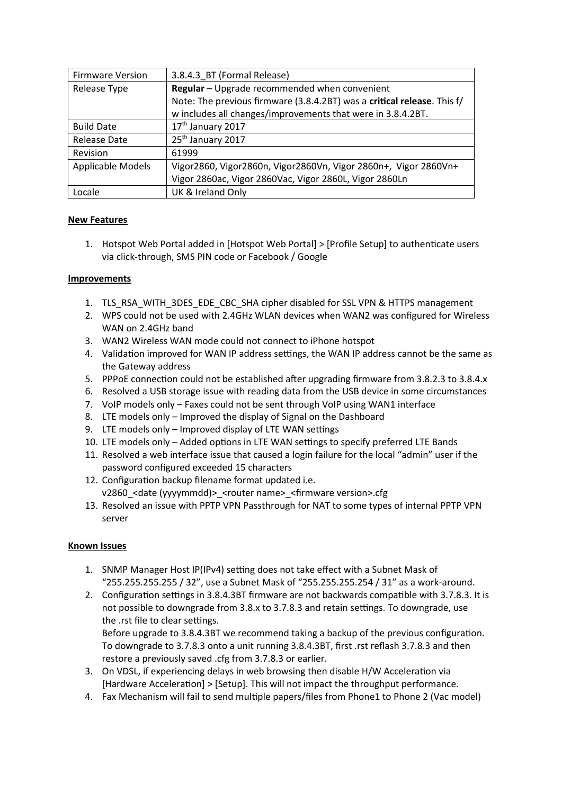| <b>Firmware Version</b> | 3.8.4.3 BT (Formal Release)                                             |
|-------------------------|-------------------------------------------------------------------------|
| Release Type            | Regular - Upgrade recommended when convenient                           |
|                         | Note: The previous firmware (3.8.4.2BT) was a critical release. This f/ |
|                         | w includes all changes/improvements that were in 3.8.4.2BT.             |
| <b>Build Date</b>       | 17 <sup>th</sup> January 2017                                           |
| Release Date            | 25 <sup>th</sup> January 2017                                           |
| Revision                | 61999                                                                   |
| Applicable Models       | Vigor2860, Vigor2860n, Vigor2860Vn, Vigor 2860n+, Vigor 2860Vn+         |
|                         | Vigor 2860ac, Vigor 2860Vac, Vigor 2860L, Vigor 2860Ln                  |
| Locale                  | UK & Ireland Only                                                       |

1. Hotspot Web Portal added in [Hotspot Web Portal] > [Profile Setup] to authenticate users via click-through, SMS PIN code or Facebook / Google

#### **Improvements**

- 1. TLS\_RSA\_WITH\_3DES\_EDE\_CBC\_SHA cipher disabled for SSL VPN & HTTPS management
- 2. WPS could not be used with 2.4GHz WLAN devices when WAN2 was configured for Wireless WAN on 2.4GHz band
- 3. WAN2 Wireless WAN mode could not connect to iPhone hotspot
- 4. Validation improved for WAN IP address settings, the WAN IP address cannot be the same as the Gateway address
- 5. PPPoE connection could not be established after upgrading firmware from 3.8.2.3 to 3.8.4.x
- 6. Resolved a USB storage issue with reading data from the USB device in some circumstances
- 7. VoIP models only Faxes could not be sent through VoIP using WAN1 interface
- 8. LTE models only Improved the display of Signal on the Dashboard
- 9. LTE models only Improved display of LTE WAN settings
- 10. LTE models only Added options in LTE WAN settings to specify preferred LTE Bands
- 11. Resolved a web interface issue that caused a login failure for the local "admin" user if the password confgured exceeded 15 characters
- 12. Configuration backup filename format updated i.e. v2860\_<date (yyyymmdd)>\_<router name>\_<frmware version>.cfg
- 13. Resolved an issue with PPTP VPN Passthrough for NAT to some types of internal PPTP VPN server

#### **Known Issues**

- 1. SNMP Manager Host IP(IPv4) setting does not take effect with a Subnet Mask of "255.255.255.255 / 32", use a Subnet Mask of "255.255.255.254 / 31" as a work-around.
- 2. Configuration settings in 3.8.4.3BT firmware are not backwards compatible with 3.7.8.3. It is not possible to downgrade from 3.8.x to 3.7.8.3 and retain settings. To downgrade, use the .rst file to clear settings.

Before upgrade to 3.8.4.3BT we recommend taking a backup of the previous confguraton. To downgrade to 3.7.8.3 onto a unit running 3.8.4.3BT, first .rst reflash 3.7.8.3 and then restore a previously saved .cfg from 3.7.8.3 or earlier.

- 3. On VDSL, if experiencing delays in web browsing then disable H/W Acceleration via [Hardware Acceleraton] > [Setup]. This will not impact the throughput performance.
- 4. Fax Mechanism will fail to send multiple papers/files from Phone1 to Phone 2 (Vac model)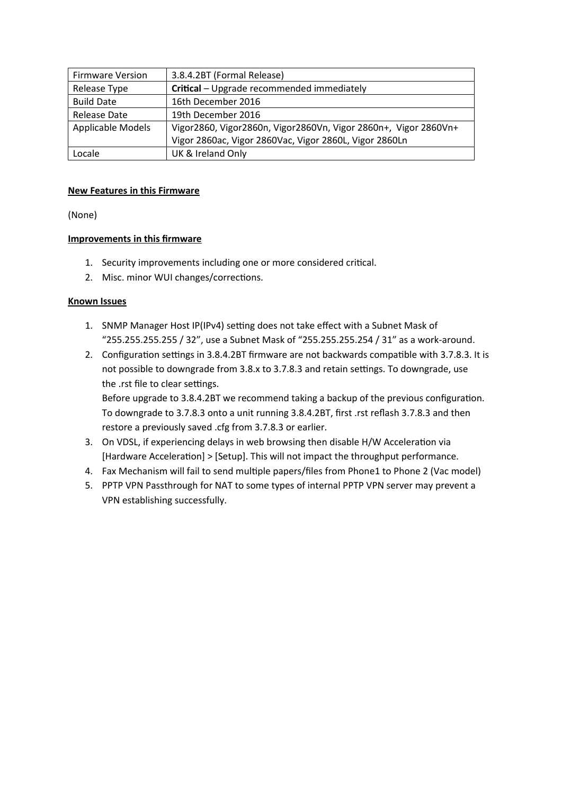| <b>Firmware Version</b> | 3.8.4.2BT (Formal Release)                                      |
|-------------------------|-----------------------------------------------------------------|
| Release Type            | Critical - Upgrade recommended immediately                      |
| <b>Build Date</b>       | 16th December 2016                                              |
| Release Date            | 19th December 2016                                              |
| Applicable Models       | Vigor2860, Vigor2860n, Vigor2860Vn, Vigor 2860n+, Vigor 2860Vn+ |
|                         | Vigor 2860ac, Vigor 2860Vac, Vigor 2860L, Vigor 2860Ln          |
| Locale                  | UK & Ireland Only                                               |

## **New Features in this Firmware**

(None)

## **Improvements in this frmware**

- 1. Security improvements including one or more considered critcal.
- 2. Misc. minor WUI changes/corrections.

#### **Known Issues**

- 1. SNMP Manager Host IP(IPv4) setting does not take effect with a Subnet Mask of "255.255.255.255 / 32", use a Subnet Mask of "255.255.255.254 / 31" as a work-around.
- 2. Configuration settings in 3.8.4.2BT firmware are not backwards compatible with 3.7.8.3. It is not possible to downgrade from 3.8.x to 3.7.8.3 and retain settings. To downgrade, use the .rst file to clear settings.

Before upgrade to 3.8.4.2BT we recommend taking a backup of the previous confguraton. To downgrade to 3.7.8.3 onto a unit running 3.8.4.2BT, first .rst reflash 3.7.8.3 and then restore a previously saved .cfg from 3.7.8.3 or earlier.

- 3. On VDSL, if experiencing delays in web browsing then disable H/W Acceleraton via [Hardware Acceleraton] > [Setup]. This will not impact the throughput performance.
- 4. Fax Mechanism will fail to send multiple papers/files from Phone1 to Phone 2 (Vac model)
- 5. PPTP VPN Passthrough for NAT to some types of internal PPTP VPN server may prevent a VPN establishing successfully.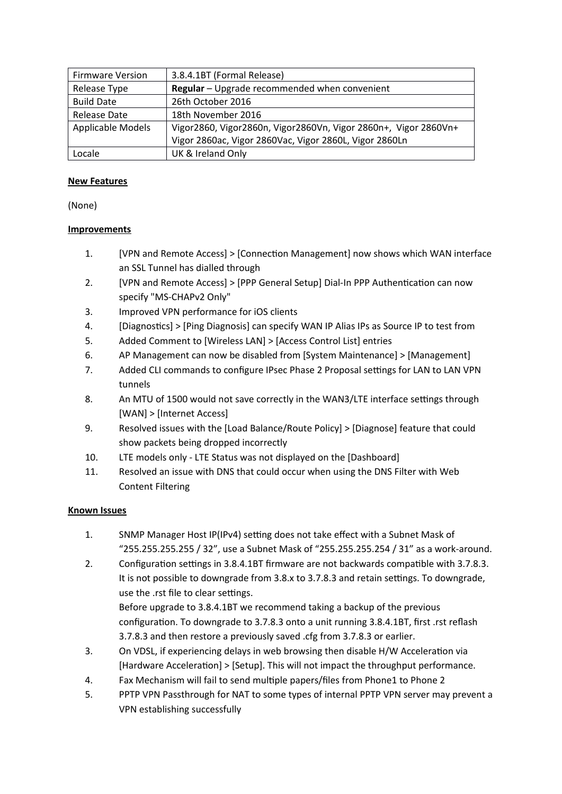| <b>Firmware Version</b>  | 3.8.4.1BT (Formal Release)                                      |
|--------------------------|-----------------------------------------------------------------|
| Release Type             | Regular - Upgrade recommended when convenient                   |
| <b>Build Date</b>        | 26th October 2016                                               |
| <b>Release Date</b>      | 18th November 2016                                              |
| <b>Applicable Models</b> | Vigor2860, Vigor2860n, Vigor2860Vn, Vigor 2860n+, Vigor 2860Vn+ |
|                          | Vigor 2860ac, Vigor 2860Vac, Vigor 2860L, Vigor 2860Ln          |
| Locale                   | UK & Ireland Only                                               |

(None)

# **Improvements**

- 1. [V'N and Remote Access] > [Connecton Management] now shows which WAN interface an SSL Tunnel has dialled through
- 2. [VPN and Remote Access] > [PPP General Setup] Dial-In PPP Authentication can now specify "MS-CHAPv2 Only"
- 3. Improved VPN performance for iOS clients
- 4. [Diagnostics] > [Ping Diagnosis] can specify WAN IP Alias IPs as Source IP to test from
- 5. Added Comment to [Wireless LAN] > [Access Control List] entries
- 6. A' Management can now be disabled from [System Maintenance] > [Management]
- 7. Added CLI commands to configure IPsec Phase 2 Proposal settings for LAN to LAN VPN tunnels
- 8. An MTU of 1500 would not save correctly in the WAN3/LTE interface settings through [WAN] > [Internet Access]
- 9. Resolved issues with the [Load Balance/Route Policy] > [Diagnose] feature that could show packets being dropped incorrectly
- 10. LTE models only LTE Status was not displayed on the [Dashboard]
- 11. Resolved an issue with DNS that could occur when using the DNS Filter with Web Content Filtering

- 1. SNMP Manager Host IP(IPv4) setting does not take effect with a Subnet Mask of "255.255.255.255 / 32", use a Subnet Mask of "255.255.255.254 / 31" as a work-around.
- 2. Configuration settings in 3.8.4.1BT firmware are not backwards compatible with 3.7.8.3. It is not possible to downgrade from 3.8.x to 3.7.8.3 and retain settings. To downgrade, use the .rst file to clear settings. Before upgrade to 3.8.4.1BT we recommend taking a backup of the previous configuration. To downgrade to 3.7.8.3 onto a unit running 3.8.4.1BT, first .rst reflash 3.7.8.3 and then restore a previously saved .cfg from 3.7.8.3 or earlier.
- 3. On VDSL, if experiencing delays in web browsing then disable H/W Acceleraton via [Hardware Acceleraton] > [Setup]. This will not impact the throughput performance.
- 4. Fax Mechanism will fail to send multiple papers/files from Phone1 to Phone 2
- 5. PPTP VPN Passthrough for NAT to some types of internal PPTP VPN server may prevent a VPN establishing successfully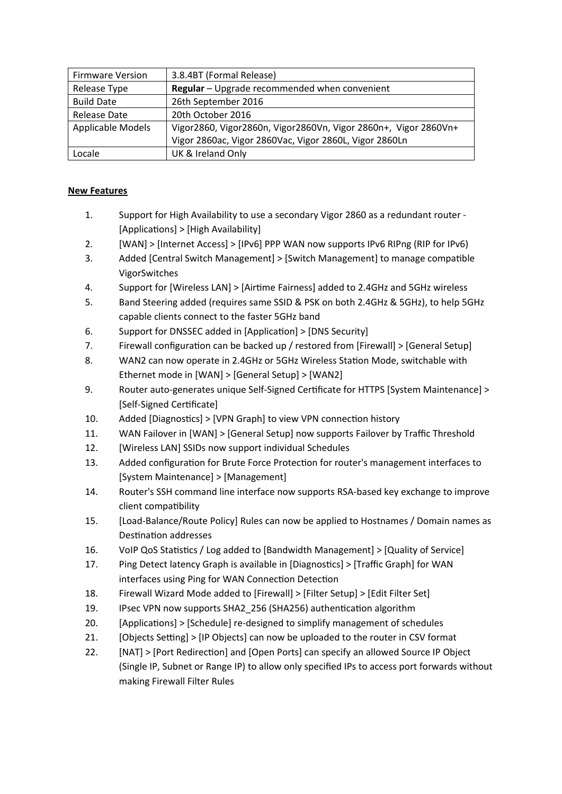| <b>Firmware Version</b> | 3.8.4BT (Formal Release)                                        |  |
|-------------------------|-----------------------------------------------------------------|--|
| Release Type            | Regular - Upgrade recommended when convenient                   |  |
| <b>Build Date</b>       | 26th September 2016                                             |  |
| <b>Release Date</b>     | 20th October 2016                                               |  |
| Applicable Models       | Vigor2860, Vigor2860n, Vigor2860Vn, Vigor 2860n+, Vigor 2860Vn+ |  |
|                         | Vigor 2860ac, Vigor 2860Vac, Vigor 2860L, Vigor 2860Ln          |  |
| Locale                  | UK & Ireland Only                                               |  |

- 1. Support for High Availability to use a secondary Vigor 2860 as a redundant router [Applications] > [High Availability]
- 2.  $[WM] > [Internet Access] > [IPv6] PPP WAN now supports IPv6 RIPng (RIP for IPv6)$
- 3. Added [Central Switch Management] > [Switch Management] to manage compatble VigorSwitches
- 4. Support for [Wireless LAN] > [Airtme Fairness] added to 2.4GHz and 5GHz wireless
- 5. Band Steering added (requires same SSID & PSK on both 2.4GHz & 5GHz), to help 5GHz capable clients connect to the faster 5GHz band
- 6. Support for DNSSEC added in [Application] > [DNS Security]
- 7. Firewall configuration can be backed up / restored from [Firewall] > [General Setup]
- 8. WAN2 can now operate in 2.4GHz or 5GHz Wireless Staton Mode, switchable with Ethernet mode in [WAN] > [General Setup] > [WAN2]
- 9. Router auto-generates unique Self-Signed Certificate for HTTPS [System Maintenance] > [Self-Signed Certificate]
- 10. Added [Diagnostics] > [VPN Graph] to view VPN connection history
- 11. WAN Failover in [WAN] > [General Setup] now supports Failover by Traffic Threshold
- 12. [Wireless LAN] SSIDs now support individual Schedules
- 13. Added configuration for Brute Force Protection for router's management interfaces to [System Maintenance] > [Management]
- 14. Router's SSH command line interface now supports RSA-based key exchange to improve client compatibility
- 15. [Load-Balance/Route 'olicy] Rules can now be applied to Hostnames / Domain names as Destination addresses
- 16. VoIP QoS Statistics / Log added to [Bandwidth Management] > [Quality of Service]
- 17. Ping Detect latency Graph is available in [Diagnostics] > [Traffic Graph] for WAN interfaces using Ping for WAN Connection Detection
- 18. Firewall Wizard Mode added to [Firewall] > [Filter Setup] > [Edit Filter Set]
- 19. IPsec VPN now supports SHA2\_256 (SHA256) authentication algorithm
- 20. [Applications] > [Schedule] re-designed to simplify management of schedules
- 21. [Objects Setting] > [IP Objects] can now be uploaded to the router in CSV format
- 22. [NAT] > [Port Redirection] and [Open Ports] can specify an allowed Source IP Object (Single IP, Subnet or Range IP) to allow only specified IPs to access port forwards without making Firewall Filter Rules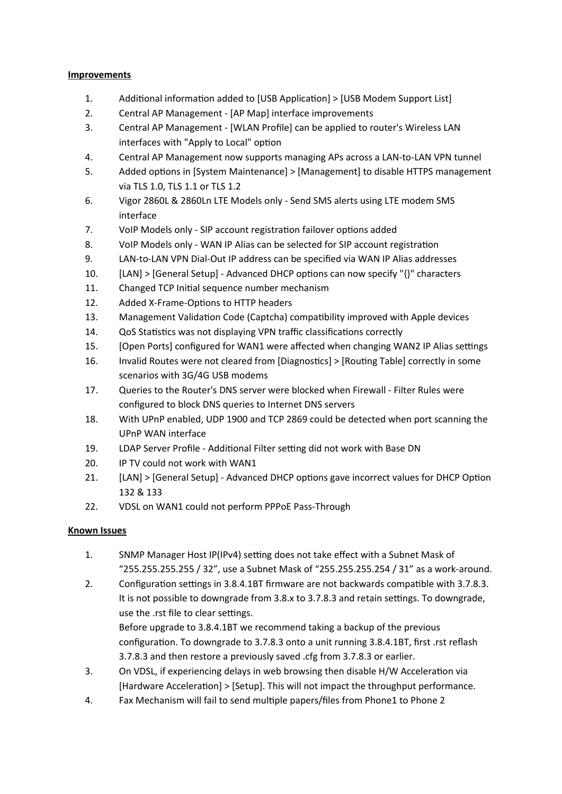## **Improvements**

- 1. Additonal informaton added to [USB Applicaton] > [USB Modem Support List]
- 2. Central AP Management [AP Map] interface improvements
- 3. Central AP Management [WLAN Profile] can be applied to router's Wireless LAN interfaces with "Apply to Local" option
- 4. Central AP Management now supports managing APs across a LAN-to-LAN VPN tunnel
- 5. Added options in [System Maintenance] > [Management] to disable HTTPS management via TLS 1.0, TLS 1.1 or TLS 1.2
- 6. Vigor 2860L & 2860Ln LTE Models only Send SMS alerts using LTE modem SMS interface
- 7. VoIP Models only SIP account registration failover options added
- 8. VoIP Models only WAN IP Alias can be selected for SIP account registration
- 9. LAN-to-LAN VPN Dial-Out IP address can be specified via WAN IP Alias addresses
- 10. [LAN] > [General Setup] Advanced DHC' optons can now specify "{}" characters
- 11. Changed TCP Initial sequence number mechanism
- 12. Added X-Frame-Options to HTTP headers
- 13. Management Validaton Code (Captcha) compatbility improved with Apple devices
- 14. QoS Statistics was not displaying VPN traffic classifications correctly
- 15. [Open Ports] configured for WAN1 were affected when changing WAN2 IP Alias settings
- 16. Invalid Routes were not cleared from [Diagnostcs] > [Routng Table] correctly in some scenarios with 3G/4G USB modems
- 17. Queries to the Router's DNS server were blocked when Firewall Filter Rules were confgured to block DNS queries to Internet DNS servers
- 18. With UPnP enabled, UDP 1900 and TCP 2869 could be detected when port scanning the UPnP WAN interface
- 19. LDAP Server Profile Additional Filter setting did not work with Base DN
- 20. IP TV could not work with WAN1
- 21. [LAN] > [General Setup] Advanced DHCP options gave incorrect values for DHCP Option 132 & 133
- 22. VDSL on WAN1 could not perform PPPoE Pass-Through

# **Known Issues**

- 1. SNMP Manager Host IP(IPv4) setting does not take effect with a Subnet Mask of "255.255.255.255 / 32", use a Subnet Mask of "255.255.255.254 / 31" as a work-around.
- 2. Configuration settings in 3.8.4.1BT firmware are not backwards compatible with 3.7.8.3. It is not possible to downgrade from 3.8.x to 3.7.8.3 and retain settings. To downgrade, use the .rst file to clear settings. Before upgrade to 3.8.4.1BT we recommend taking a backup of the previous

configuration. To downgrade to 3.7.8.3 onto a unit running 3.8.4.1BT, first .rst reflash 3.7.8.3 and then restore a previously saved .cfg from 3.7.8.3 or earlier.

- 3. On VDSL, if experiencing delays in web browsing then disable H/W Acceleraton via [Hardware Acceleraton] > [Setup]. This will not impact the throughput performance.
- 4. Fax Mechanism will fail to send multiple papers/files from Phone1 to Phone 2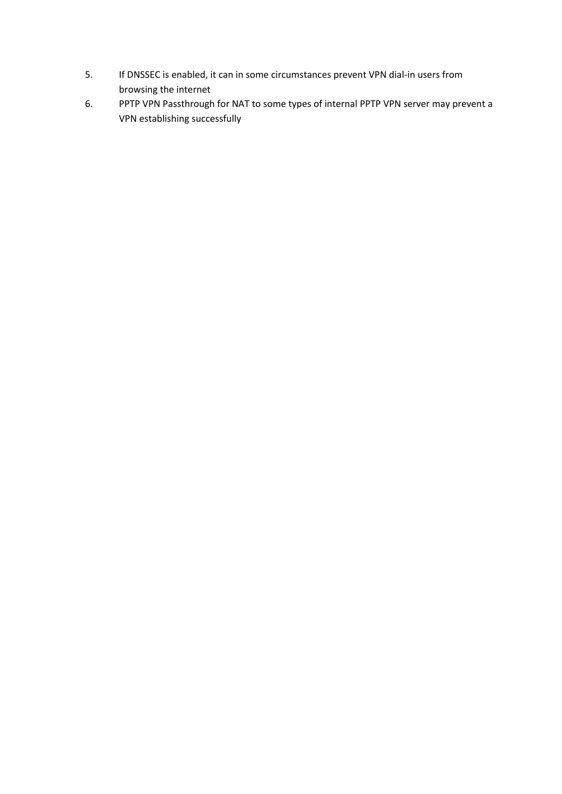- 5. If DNSSEC is enabled, it can in some circumstances prevent VPN dial-in users from browsing the internet
- 6. PPTP VPN Passthrough for NAT to some types of internal PPTP VPN server may prevent a VPN establishing successfully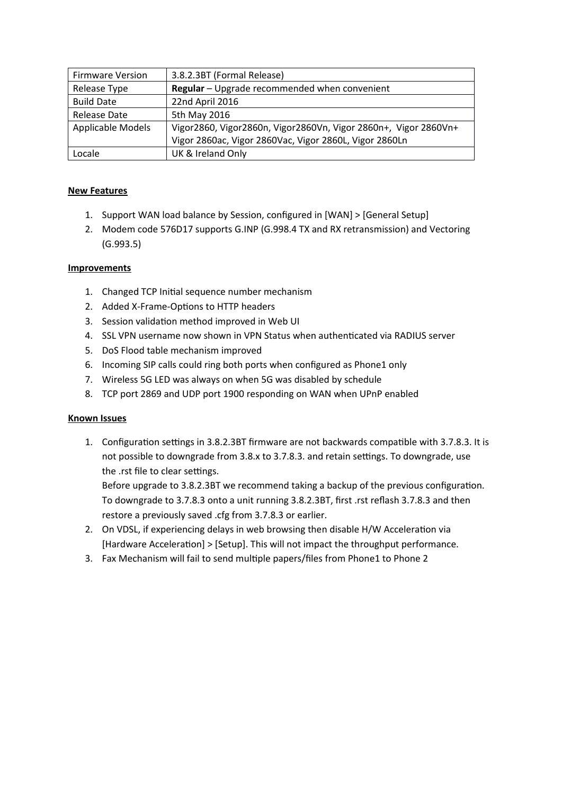| <b>Firmware Version</b>  | 3.8.2.3BT (Formal Release)                                      |  |
|--------------------------|-----------------------------------------------------------------|--|
| Release Type             | Regular - Upgrade recommended when convenient                   |  |
| <b>Build Date</b>        | 22nd April 2016                                                 |  |
| <b>Release Date</b>      | 5th May 2016                                                    |  |
| <b>Applicable Models</b> | Vigor2860, Vigor2860n, Vigor2860Vn, Vigor 2860n+, Vigor 2860Vn+ |  |
|                          | Vigor 2860ac, Vigor 2860Vac, Vigor 2860L, Vigor 2860Ln          |  |
| Locale                   | UK & Ireland Only                                               |  |

- 1. Support WAN load balance by Session, confgured in [WAN] > [General Setup]
- 2. Modem code 576D17 supports G.INP (G.998.4 TX and RX retransmission) and Vectoring (G.993.5)

## **Improvements**

- 1. Changed TCP Initial sequence number mechanism
- 2. Added X-Frame-Options to HTTP headers
- 3. Session validation method improved in Web UI
- 4. SSL VPN username now shown in VPN Status when authenticated via RADIUS server
- 5. DoS Flood table mechanism improved
- 6. Incoming SIP calls could ring both ports when configured as Phone1 only
- 7. Wireless 5G LED was always on when 5G was disabled by schedule
- 8. TCP port 2869 and UDP port 1900 responding on WAN when UPnP enabled

#### **Known Issues**

1. Configuration settings in 3.8.2.3BT firmware are not backwards compatible with 3.7.8.3. It is not possible to downgrade from 3.8.x to 3.7.8.3. and retain settings. To downgrade, use the .rst file to clear settings.

Before upgrade to 3.8.2.3BT we recommend taking a backup of the previous confguraton. To downgrade to 3.7.8.3 onto a unit running 3.8.2.3BT, first .rst reflash 3.7.8.3 and then restore a previously saved .cfg from 3.7.8.3 or earlier.

- 2. On VDSL, if experiencing delays in web browsing then disable H/W Acceleraton via [Hardware Acceleration] > [Setup]. This will not impact the throughput performance.
- 3. Fax Mechanism will fail to send multiple papers/files from Phone1 to Phone 2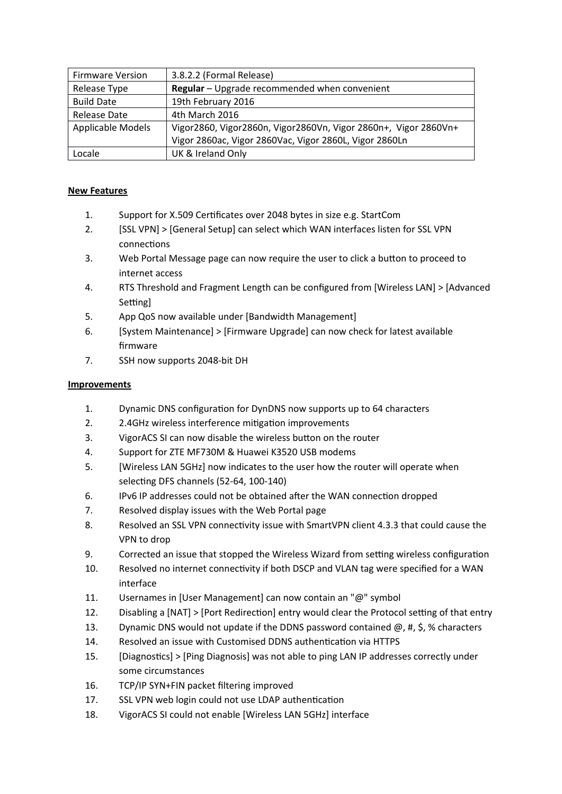| <b>Firmware Version</b> | 3.8.2.2 (Formal Release)                                        |  |
|-------------------------|-----------------------------------------------------------------|--|
| Release Type            | Regular - Upgrade recommended when convenient                   |  |
| <b>Build Date</b>       | 19th February 2016                                              |  |
| <b>Release Date</b>     | 4th March 2016                                                  |  |
| Applicable Models       | Vigor2860, Vigor2860n, Vigor2860Vn, Vigor 2860n+, Vigor 2860Vn+ |  |
|                         | Vigor 2860ac, Vigor 2860Vac, Vigor 2860L, Vigor 2860Ln          |  |
| Locale                  | UK & Ireland Only                                               |  |

- 1. Support for X.509 Certificates over 2048 bytes in size e.g. StartCom
- 2. [SSL VPN] > [General Setup] can select which WAN interfaces listen for SSL VPN connections
- 3. Web Portal Message page can now require the user to click a button to proceed to internet access
- 4. RTS Threshold and Fragment Length can be confgured from [Wireless LAN] > [Advanced Setting]
- 5. App QoS now available under [Bandwidth Management]
- 6. [System Maintenance] > [Firmware Upgrade] can now check for latest available frmware
- 7. SSH now supports 2048-bit DH

- 1. Dynamic DNS confguraton for DynDNS now supports up to 64 characters
- 2. 2.4GHz wireless interference mitigation improvements
- 3. VigorACS SI can now disable the wireless button on the router
- 4. Support for ZTE MF730M & Huawei K3520 USB modems
- 5. [Wireless LAN 5GHz] now indicates to the user how the router will operate when selecting DFS channels (52-64, 100-140)
- 6. IPv6 IP addresses could not be obtained after the WAN connection dropped
- 7. Resolved display issues with the Web Portal page
- 8. Resolved an SSL VPN connectivity issue with SmartVPN client 4.3.3 that could cause the VPN to drop
- 9. Corrected an issue that stopped the Wireless Wizard from setting wireless configuration
- 10. Resolved no internet connectivity if both DSCP and VLAN tag were specified for a WAN interface
- 11. Usernames in [User Management] can now contain an "@" symbol
- 12. Disabling a [NAT] > [Port Redirection] entry would clear the Protocol setting of that entry
- 13. Dynamic DNS would not update if the DDNS password contained  $\omega$ , #, \$, % characters
- 14. Resolved an issue with Customised DDNS authentication via HTTPS
- 15. [Diagnostics] > [Ping Diagnosis] was not able to ping LAN IP addresses correctly under some circumstances
- 16. TCP/IP SYN+FIN packet filtering improved
- 17. SSL VPN web login could not use LDAP authentication
- 18. VigorACS SI could not enable [Wireless LAN 5GHz] interface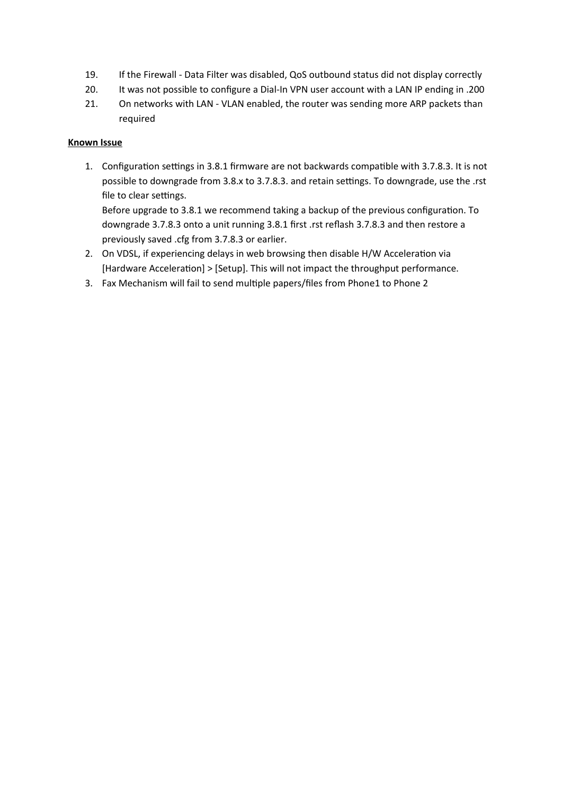- 19. If the Firewall Data Filter was disabled, QoS outbound status did not display correctly
- 20. It was not possible to configure a Dial-In VPN user account with a LAN IP ending in .200
- 21. On networks with LAN VLAN enabled, the router was sending more ARP packets than required

## **Known Issue**

1. Configuration settings in 3.8.1 firmware are not backwards compatible with 3.7.8.3. It is not possible to downgrade from 3.8.x to 3.7.8.3. and retain settings. To downgrade, use the .rst file to clear settings.

Before upgrade to 3.8.1 we recommend taking a backup of the previous confguraton. To downgrade 3.7.8.3 onto a unit running 3.8.1 first .rst reflash 3.7.8.3 and then restore a previously saved .cfg from 3.7.8.3 or earlier.

- 2. On VDSL, if experiencing delays in web browsing then disable H/W Acceleration via [Hardware Acceleration] > [Setup]. This will not impact the throughput performance.
- 3. Fax Mechanism will fail to send multiple papers/files from Phone1 to Phone 2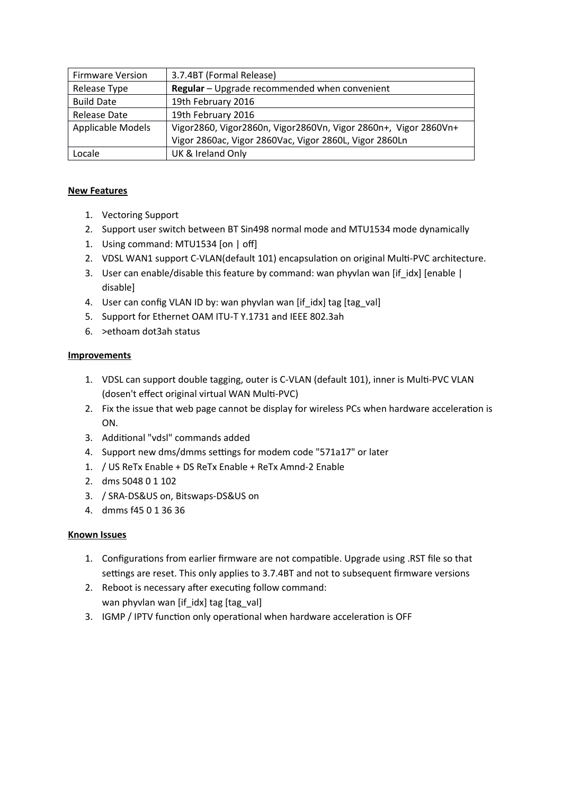| <b>Firmware Version</b> | 3.7.4BT (Formal Release)                                        |  |
|-------------------------|-----------------------------------------------------------------|--|
| Release Type            | Regular - Upgrade recommended when convenient                   |  |
| <b>Build Date</b>       | 19th February 2016                                              |  |
| Release Date            | 19th February 2016                                              |  |
| Applicable Models       | Vigor2860, Vigor2860n, Vigor2860Vn, Vigor 2860n+, Vigor 2860Vn+ |  |
|                         | Vigor 2860ac, Vigor 2860Vac, Vigor 2860L, Vigor 2860Ln          |  |
| Locale                  | UK & Ireland Only                                               |  |

- 1. Vectoring Support
- 2. Support user switch between BT Sin498 normal mode and MTU1534 mode dynamically
- 1. Using command: MTU1534 [on | off]
- 2. VDSL WAN1 support C-VLAN(default 101) encapsulation on original Multi-PVC architecture.
- 3. User can enable/disable this feature by command: wan phyvlan wan [if idx] [enable | disable]
- 4. User can config VLAN ID by: wan phyvlan wan [if\_idx] tag [tag\_val]
- 5. Support for Ethernet OAM ITU-T Y.1731 and IEEE 802.3ah
- 6. >ethoam dot3ah status

## **Improvements**

- 1. VDSL can support double tagging, outer is C-VLAN (default 101), inner is Multi-PVC VLAN (dosen't effect original virtual WAN Multi-PVC)
- 2. Fix the issue that web page cannot be display for wireless PCs when hardware acceleration is ON.
- 3. Additonal "vdsl" commands added
- 4. Support new dms/dmms settings for modem code "571a17" or later
- 1. / US ReTx Enable + DS ReTx Enable + ReTx Amnd-2 Enable
- 2. dms 5048 0 1 102
- 3. / SRA-DS&US on, Bitswaps-DS&US on
- 4. dmms f45 0 1 36 36

- 1. Configurations from earlier firmware are not compatible. Upgrade using .RST file so that settings are reset. This only applies to 3.7.4BT and not to subsequent firmware versions
- 2. Reboot is necessary after executing follow command: wan phyvlan wan [if\_idx] tag [tag\_val]
- 3. IGMP / IPTV function only operational when hardware acceleration is OFF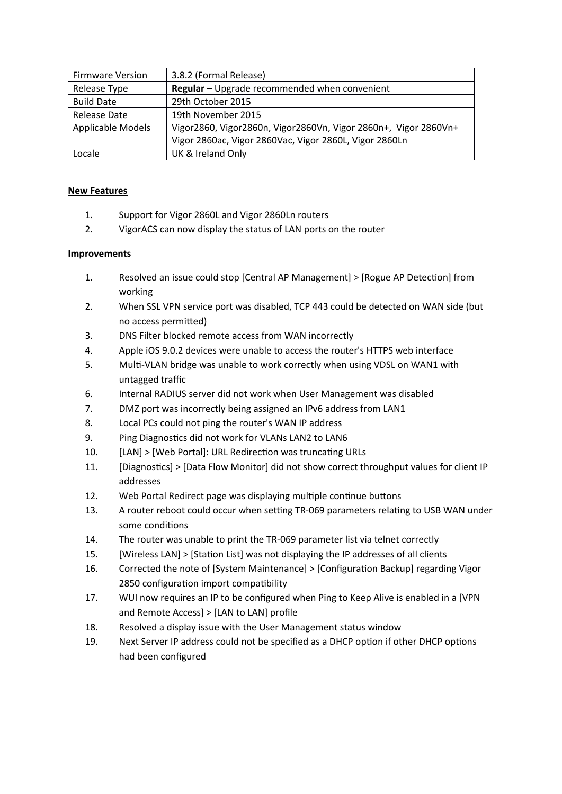| <b>Firmware Version</b> | 3.8.2 (Formal Release)                                          |  |
|-------------------------|-----------------------------------------------------------------|--|
| Release Type            | Regular - Upgrade recommended when convenient                   |  |
| <b>Build Date</b>       | 29th October 2015                                               |  |
| Release Date            | 19th November 2015                                              |  |
| Applicable Models       | Vigor2860, Vigor2860n, Vigor2860Vn, Vigor 2860n+, Vigor 2860Vn+ |  |
|                         | Vigor 2860ac, Vigor 2860Vac, Vigor 2860L, Vigor 2860Ln          |  |
| Locale                  | UK & Ireland Only                                               |  |

- 1. Support for Vigor 2860L and Vigor 2860Ln routers
- 2. VigorACS can now display the status of LAN ports on the router

- 1. Resolved an issue could stop [Central AP Management] > [Rogue AP Detection] from working
- 2. When SSL VPN service port was disabled, TCP 443 could be detected on WAN side (but no access permited)
- 3. DNS Filter blocked remote access from WAN incorrectly
- 4. Apple iOS 9.0.2 devices were unable to access the router's HTTPS web interface
- 5. Mult-VLAN bridge was unable to work correctly when using VDSL on WAN1 with untagged traffic
- 6. Internal RADIUS server did not work when User Management was disabled
- 7. DMZ port was incorrectly being assigned an IPv6 address from LAN1
- 8. Local PCs could not ping the router's WAN IP address
- 9. Ping Diagnostics did not work for VLANs LAN2 to LAN6
- 10. [LAN] > [Web Portal]: URL Redirection was truncating URLs
- 11. [Diagnostics] > [Data Flow Monitor] did not show correct throughput values for client IP addresses
- 12. Web Portal Redirect page was displaying multiple continue buttons
- 13. A router reboot could occur when setting TR-069 parameters relating to USB WAN under some conditons
- 14. The router was unable to print the TR-069 parameter list via telnet correctly
- 15. [Wireless LAN] > [Station List] was not displaying the IP addresses of all clients
- 16. Corrected the note of [System Maintenance] > [Confguraton Backup] regarding Vigor 2850 configuration import compatibility
- 17. WUI now requires an IP to be configured when Ping to Keep Alive is enabled in a [VPN and Remote Access] > [LAN to LAN] profle
- 18. Resolved a display issue with the User Management status window
- 19. Next Server IP address could not be specified as a DHCP option if other DHCP options had been confgured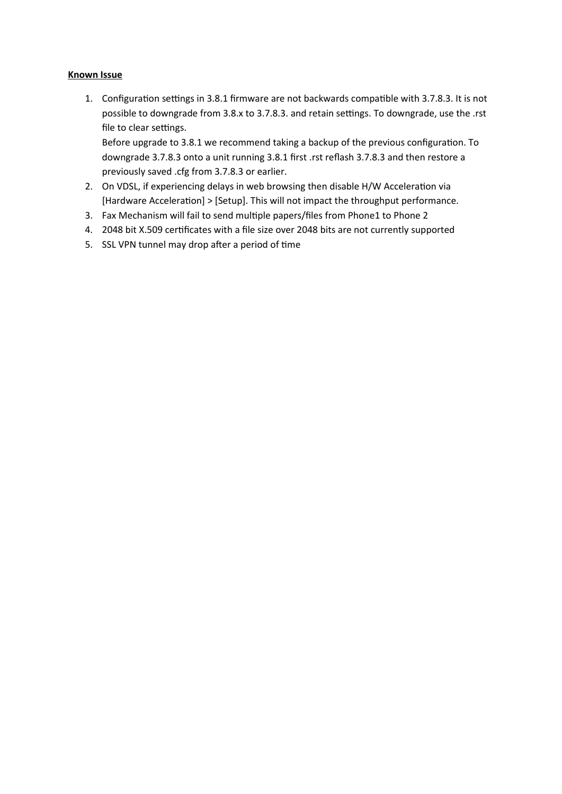## **Known Issue**

1. Configuration settings in 3.8.1 firmware are not backwards compatible with 3.7.8.3. It is not possible to downgrade from 3.8.x to 3.7.8.3. and retain settings. To downgrade, use the .rst file to clear settings.

Before upgrade to 3.8.1 we recommend taking a backup of the previous configuration. To downgrade 3.7.8.3 onto a unit running 3.8.1 first .rst reflash 3.7.8.3 and then restore a previously saved .cfg from 3.7.8.3 or earlier.

- 2. On VDSL, if experiencing delays in web browsing then disable H/W Acceleration via [Hardware Acceleraton] > [Setup]. This will not impact the throughput performance.
- 3. Fax Mechanism will fail to send multiple papers/files from Phone1 to Phone 2
- 4. 2048 bit X.509 certificates with a file size over 2048 bits are not currently supported
- 5. SSL VPN tunnel may drop after a period of time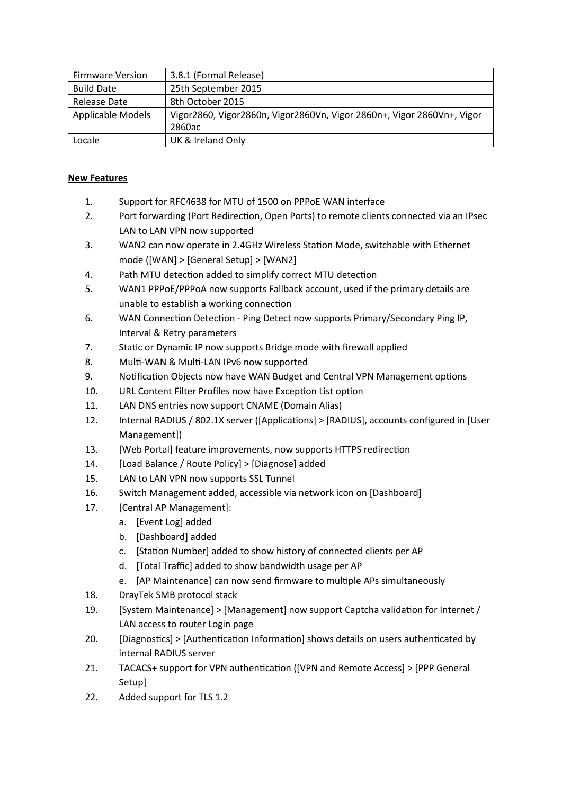| <b>Firmware Version</b>  | 3.8.1 (Formal Release)                                                 |  |
|--------------------------|------------------------------------------------------------------------|--|
| <b>Build Date</b>        | 25th September 2015                                                    |  |
| Release Date             | 8th October 2015                                                       |  |
| <b>Applicable Models</b> | Vigor2860, Vigor2860n, Vigor2860Vn, Vigor 2860n+, Vigor 2860Vn+, Vigor |  |
|                          | 2860ac                                                                 |  |
| Locale                   | UK & Ireland Only                                                      |  |

- 1. Support for RFC4638 for MTU of 1500 on PPPoE WAN interface
- 2. Port forwarding (Port Redirection, Open Ports) to remote clients connected via an IPsec LAN to LAN VPN now supported
- 3. WAN2 can now operate in 2.4GHz Wireless Staton Mode, switchable with Ethernet mode ([WAN] > [General Setup] > [WAN2]
- 4. Path MTU detection added to simplify correct MTU detection
- 5. WAN1 PPPoE/PPPoA now supports Fallback account, used if the primary details are unable to establish a working connection
- 6. WAN Connection Detection Ping Detect now supports Primary/Secondary Ping IP, Interval & Retry parameters
- 7. Static or Dynamic IP now supports Bridge mode with firewall applied
- 8. Multi-WAN & Multi-LAN IPv6 now supported
- 9. Notification Objects now have WAN Budget and Central VPN Management options
- 10. URL Content Filter Profiles now have Exception List option
- 11. LAN DNS entries now support CNAME (Domain Alias)
- 12. Internal RADIUS / 802.1X server ([Applicatons] > [RADIUS], accounts confgured in [User Management])
- 13. [Web Portal] feature improvements, now supports HTTPS redirection
- 14. [Load Balance / Route Policy] > [Diagnose] added
- 15. LAN to LAN VPN now supports SSL Tunnel
- 16. Switch Management added, accessible via network icon on [Dashboard]
- 17. **[Central AP Management]:** 
	- a. [Event Log] added
	- b. [Dashboard] added
	- c. [Station Number] added to show history of connected clients per AP
	- d. [Total Traffic] added to show bandwidth usage per AP
	- e. [AP Maintenance] can now send firmware to multiple APs simultaneously
- 18. DrayTek SMB protocol stack
- 19. [System Maintenance] > [Management] now support Captcha validaton for Internet / LAN access to router Login page
- 20. [Diagnostics] > [Authentication Information] shows details on users authenticated by internal RADIUS server
- 21. TACACS+ support for VPN authentication ([VPN and Remote Access] > [PPP General Setup]
- 22. Added support for TLS 1.2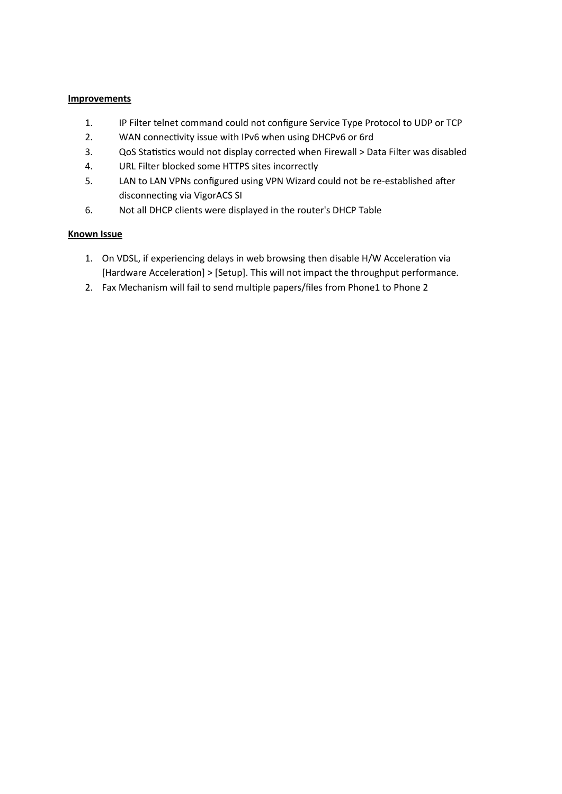#### **Improvements**

- 1. IP Filter telnet command could not configure Service Type Protocol to UDP or TCP
- 2. WAN connectivity issue with IPv6 when using DHCPv6 or 6rd
- 3. QoS Statistics would not display corrected when Firewall > Data Filter was disabled
- 4. URL Filter blocked some HTTPS sites incorrectly
- 5. LAN to LAN VPNs configured using VPN Wizard could not be re-established after disconnecting via VigorACS SI
- 6. Not all DHCP clients were displayed in the router's DHCP Table

- 1. On VDSL, if experiencing delays in web browsing then disable H/W Acceleraton via [Hardware Acceleration] > [Setup]. This will not impact the throughput performance.
- 2. Fax Mechanism will fail to send multiple papers/files from Phone1 to Phone 2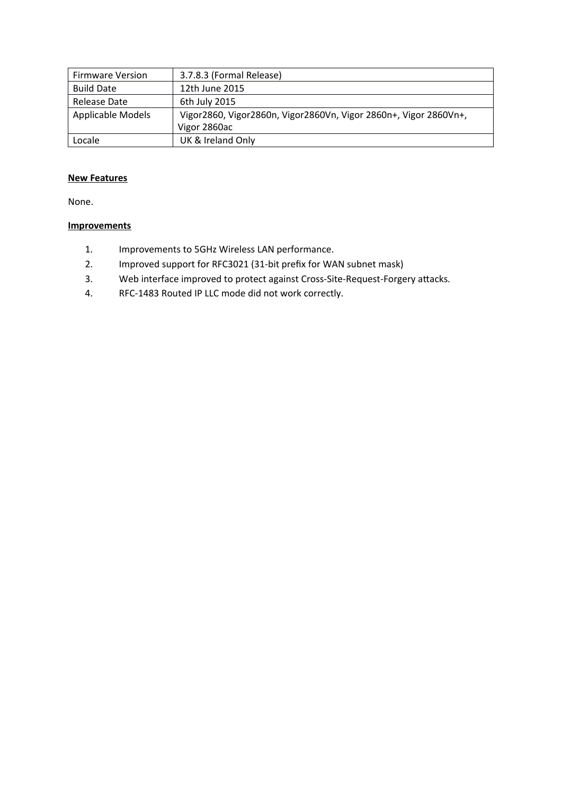| <b>Firmware Version</b> | 3.7.8.3 (Formal Release)                                         |  |
|-------------------------|------------------------------------------------------------------|--|
| <b>Build Date</b>       | 12th June 2015                                                   |  |
| Release Date            | 6th July 2015                                                    |  |
| Applicable Models       | Vigor2860, Vigor2860n, Vigor2860Vn, Vigor 2860n+, Vigor 2860Vn+, |  |
|                         | Vigor 2860ac                                                     |  |
| Locale                  | UK & Ireland Only                                                |  |

None.

- 1. Improvements to 5GHz Wireless LAN performance.
- 2. Improved support for RFC3021 (31-bit prefx for WAN subnet mask)
- 3. Web interface improved to protect against Cross-Site-Request-Forgery atacks.
- 4. RFC-1483 Routed IP LLC mode did not work correctly.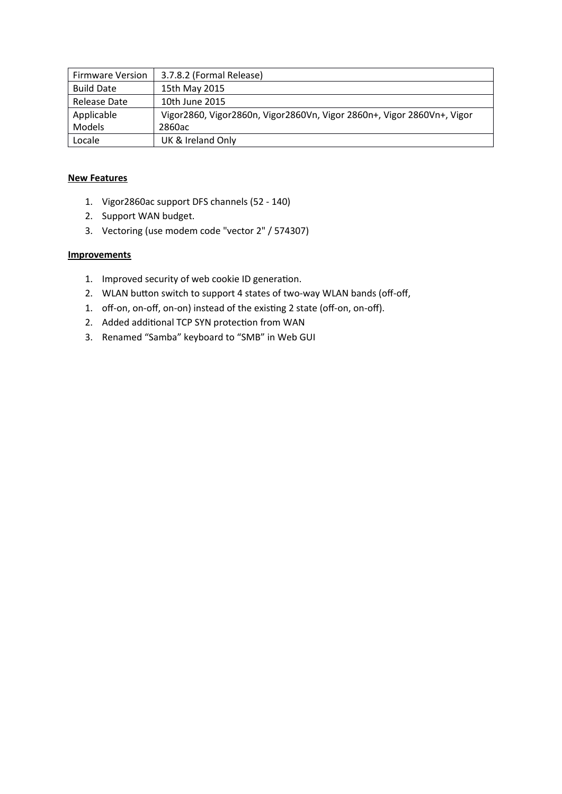| <b>Firmware Version</b> | 3.7.8.2 (Formal Release)                                               |  |
|-------------------------|------------------------------------------------------------------------|--|
| <b>Build Date</b>       | 15th May 2015                                                          |  |
| Release Date            | 10th June 2015                                                         |  |
| Applicable              | Vigor2860, Vigor2860n, Vigor2860Vn, Vigor 2860n+, Vigor 2860Vn+, Vigor |  |
| Models                  | 2860ac                                                                 |  |
| Locale                  | UK & Ireland Only                                                      |  |

- 1. Vigor2860ac support DFS channels (52 140)
- 2. Support WAN budget.
- 3. Vectoring (use modem code "vector 2" / 574307)

- 1. Improved security of web cookie ID generation.
- 2. WLAN button switch to support 4 states of two-way WLAN bands (off-off,
- 1. off-on, on-off, on-on) instead of the existing 2 state (off-on, on-off).
- 2. Added additional TCP SYN protection from WAN
- 3. Renamed "Samba" keyboard to "SMB" in Web GUI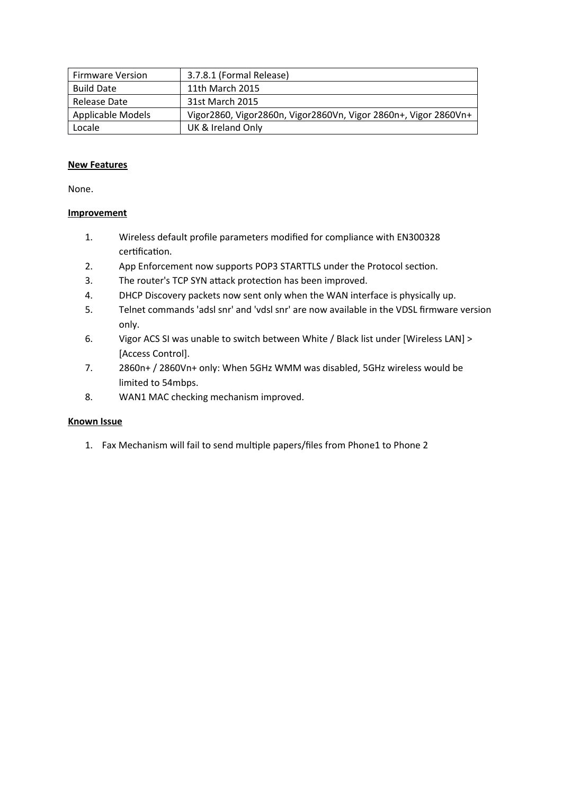| <b>Firmware Version</b> | 3.7.8.1 (Formal Release)                                        |
|-------------------------|-----------------------------------------------------------------|
| <b>Build Date</b>       | 11th March 2015                                                 |
| Release Date            | 31st March 2015                                                 |
| Applicable Models       | Vigor2860, Vigor2860n, Vigor2860Vn, Vigor 2860n+, Vigor 2860Vn+ |
| Locale                  | UK & Ireland Only                                               |

None.

## **Improvement**

- 1. Wireless default profle parameters modifed for compliance with EN300328 certification.
- 2. App Enforcement now supports POP3 STARTTLS under the Protocol section.
- 3. The router's TCP SYN attack protection has been improved.
- 4. DHCP Discovery packets now sent only when the WAN interface is physically up.
- 5. Telnet commands 'adsl snr' and 'vdsl snr' are now available in the VDSL frmware version only.
- 6. Vigor ACS SI was unable to switch between White / Black list under [Wireless LAN] > [Access Control].
- 7. 2860n+ / 2860Vn+ only: When 5GHz WMM was disabled, 5GHz wireless would be limited to 54mbps.
- 8. WAN1 MAC checking mechanism improved.

# **Known Issue**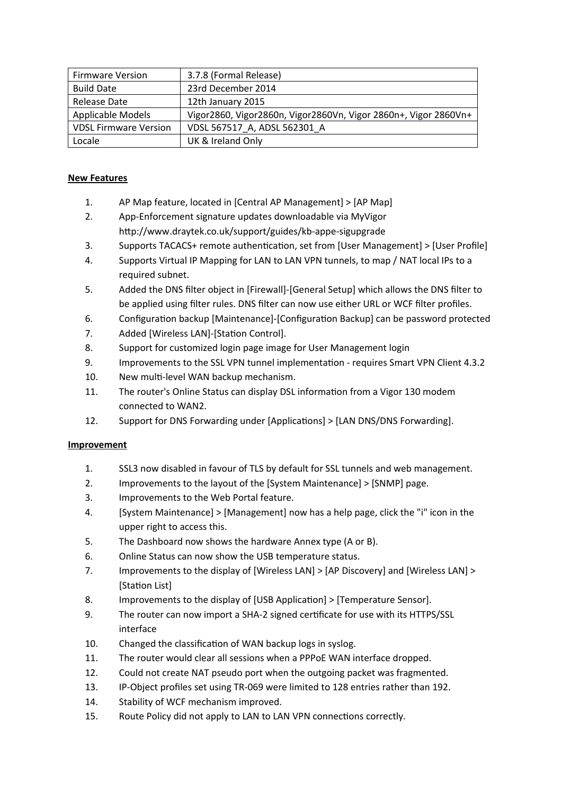| <b>Firmware Version</b>      | 3.7.8 (Formal Release)                                          |
|------------------------------|-----------------------------------------------------------------|
| <b>Build Date</b>            | 23rd December 2014                                              |
| Release Date                 | 12th January 2015                                               |
| Applicable Models            | Vigor2860, Vigor2860n, Vigor2860Vn, Vigor 2860n+, Vigor 2860Vn+ |
| <b>VDSL Firmware Version</b> | VDSL 567517_A, ADSL 562301_A                                    |
| Locale                       | UK & Ireland Only                                               |

- 1. AP Map feature, located in [Central AP Management] > [AP Map]
- 2. App-Enforcement signature updates downloadable via MyVigor htp://www.draytek.co.uk/support/guides/kb-appe-sigupgrade
- 3. Supports TACACS+ remote authentication, set from [User Management] > [User Profile]
- 4. Supports Virtual IP Mapping for LAN to LAN VPN tunnels, to map / NAT local IPs to a required subnet.
- 5. Added the DNS flter object in [Firewall]-[General Setup] which allows the DNS flter to be applied using flter rules. DNS flter can now use either URL or WCF flter profles.
- 6. Configuration backup [Maintenance]-[Configuration Backup] can be password protected
- 7. Added [Wireless LAN]-[Station Control].
- 8. Support for customized login page image for User Management login
- 9. Improvements to the SSL VPN tunnel implementation requires Smart VPN Client 4.3.2
- 10. New mult-level WAN backup mechanism.
- 11. The router's Online Status can display DSL information from a Vigor 130 modem connected to WAN2.
- 12. Support for DNS Forwarding under [Applicatons] > [LAN DNS/DNS Forwarding].

- 1. SSL3 now disabled in favour of TLS by default for SSL tunnels and web management.
- 2. Improvements to the layout of the [System Maintenance] > [SNMP] page.
- 3. Improvements to the Web Portal feature.
- 4. [System Maintenance] > [Management] now has a help page, click the "i" icon in the upper right to access this.
- 5. The Dashboard now shows the hardware Annex type (A or B).
- 6. Online Status can now show the USB temperature status.
- 7. Improvements to the display of [Wireless LAN] > [AP Discovery] and [Wireless LAN] > [Staton List]
- 8. Improvements to the display of [USB Applicaton] > [Temperature Sensor].
- 9. The router can now import a SHA-2 signed certificate for use with its HTTPS/SSL interface
- 10. Changed the classification of WAN backup logs in syslog.
- 11. The router would clear all sessions when a PPPOE WAN interface dropped.
- 12. Could not create NAT pseudo port when the outgoing packet was fragmented.
- 13. IP-Object profiles set using TR-069 were limited to 128 entries rather than 192.
- 14. Stability of WCF mechanism improved.
- 15. Route Policy did not apply to LAN to LAN VPN connections correctly.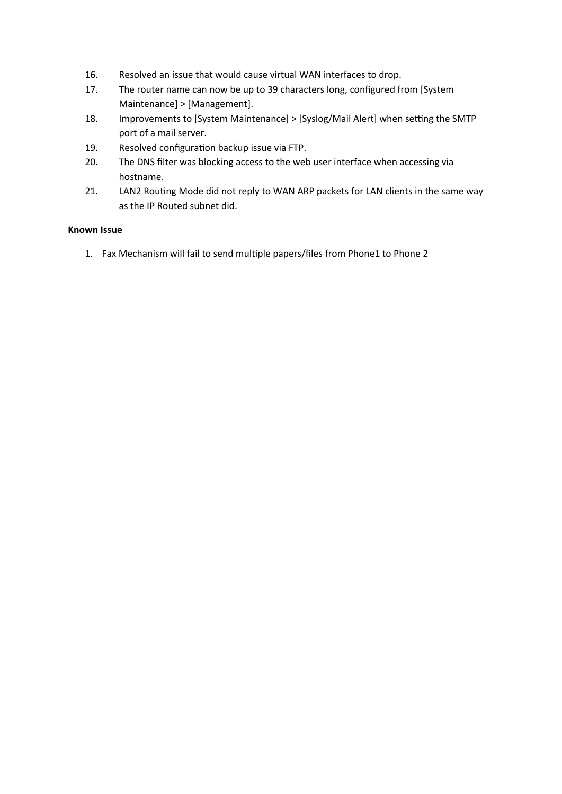- 16. Resolved an issue that would cause virtual WAN interfaces to drop.
- 17. The router name can now be up to 39 characters long, confgured from [System Maintenance] > [Management].
- 18. Improvements to [System Maintenance] > [Syslog/Mail Alert] when setting the SMTP port of a mail server.
- 19. Resolved configuration backup issue via FTP.
- 20. The DNS flter was blocking access to the web user interface when accessing via hostname.
- 21. LAN2 Routing Mode did not reply to WAN ARP packets for LAN clients in the same way as the IP Routed subnet did.

## **Known Issue**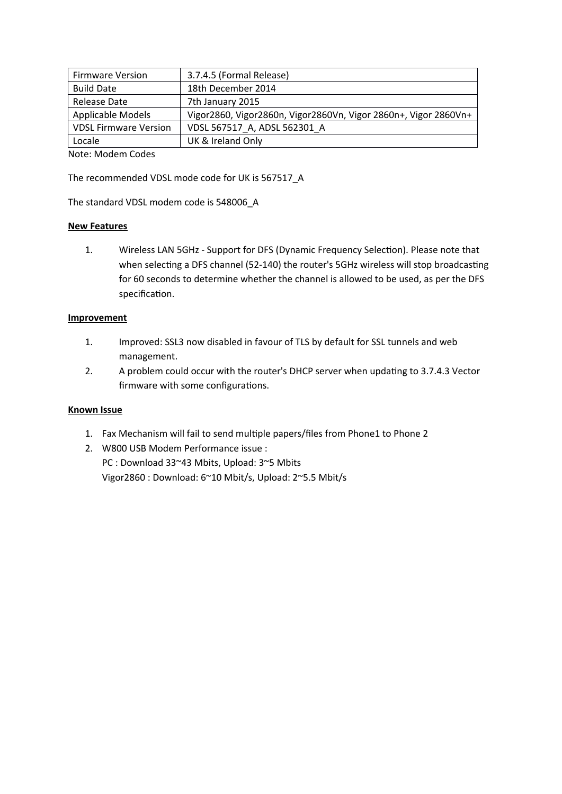| <b>Firmware Version</b>      | 3.7.4.5 (Formal Release)                                           |
|------------------------------|--------------------------------------------------------------------|
| <b>Build Date</b>            | 18th December 2014                                                 |
| Release Date                 | 7th January 2015                                                   |
| Applicable Models            | Vigor 2860, Vigor 2860n, Vigor 2860Vn, Vigor 2860n+, Vigor 2860Vn+ |
| <b>VDSL Firmware Version</b> | VDSL 567517 A, ADSL 562301 A                                       |
| Locale                       | UK & Ireland Only                                                  |

Note: Modem Codes

The recommended VDSL mode code for UK is 567517\_A

The standard VDSL modem code is 548006\_A

#### **New Features**

1. Wireless LAN 5GHz - Support for DFS (Dynamic Frequency Selection). Please note that when selecting a DFS channel (52-140) the router's 5GHz wireless will stop broadcasting for 60 seconds to determine whether the channel is allowed to be used, as per the DFS specification.

#### **Improvement**

- 1. Improved: SSL3 now disabled in favour of TLS by default for SSL tunnels and web management.
- 2. A problem could occur with the router's DHCP server when updating to 3.7.4.3 Vector firmware with some configurations.

- 1. Fax Mechanism will fail to send multiple papers/files from Phone1 to Phone 2
- 2. W800 USB Modem Performance issue : PC : Download 33~43 Mbits, Upload: 3~5 Mbits Vigor2860 : Download: 6~10 Mbit/s, Upload: 2~5.5 Mbit/s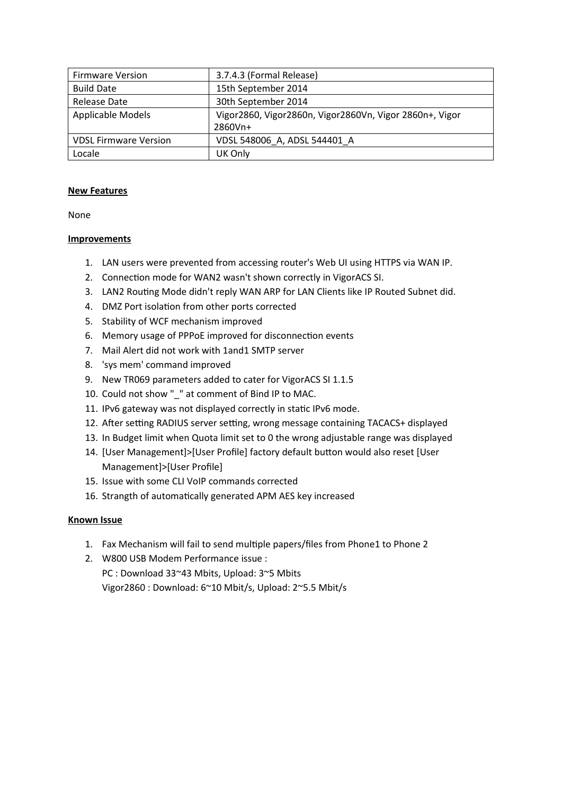| <b>Firmware Version</b>      | 3.7.4.3 (Formal Release)                                |
|------------------------------|---------------------------------------------------------|
| <b>Build Date</b>            | 15th September 2014                                     |
| Release Date                 | 30th September 2014                                     |
| Applicable Models            | Vigor2860, Vigor2860n, Vigor2860Vn, Vigor 2860n+, Vigor |
|                              | 2860Vn+                                                 |
| <b>VDSL Firmware Version</b> | VDSL 548006 A, ADSL 544401 A                            |
| Locale                       | UK Only                                                 |

None

## **Improvements**

- 1. LAN users were prevented from accessing router's Web UI using HTTPS via WAN IP.
- 2. Connection mode for WAN2 wasn't shown correctly in VigorACS SI.
- 3. LAN2 Routing Mode didn't reply WAN ARP for LAN Clients like IP Routed Subnet did.
- 4. DMZ Port isolation from other ports corrected
- 5. Stability of WCF mechanism improved
- 6. Memory usage of PPPoE improved for disconnection events
- 7. Mail Alert did not work with 1and1 SMTP server
- 8. 'sys mem' command improved
- 9. New TR069 parameters added to cater for VigorACS SI 1.1.5
- 10. Could not show "\_" at comment of Bind IP to MAC.
- 11. IPv6 gateway was not displayed correctly in static IPv6 mode.
- 12. After setting RADIUS server setting, wrong message containing TACACS+ displayed
- 13. In Budget limit when Quota limit set to 0 the wrong adjustable range was displayed
- 14. [User Management]>[User Profile] factory default button would also reset [User Management]>[User Profile]
- 15. Issue with some CLI VoIP commands corrected
- 16. Strangth of automatically generated APM AES key increased

- 1. Fax Mechanism will fail to send multiple papers/files from Phone1 to Phone 2
- 2. W800 USB Modem Performance issue : PC : Download 33~43 Mbits, Upload: 3~5 Mbits Vigor2860 : Download: 6~10 Mbit/s, Upload: 2~5.5 Mbit/s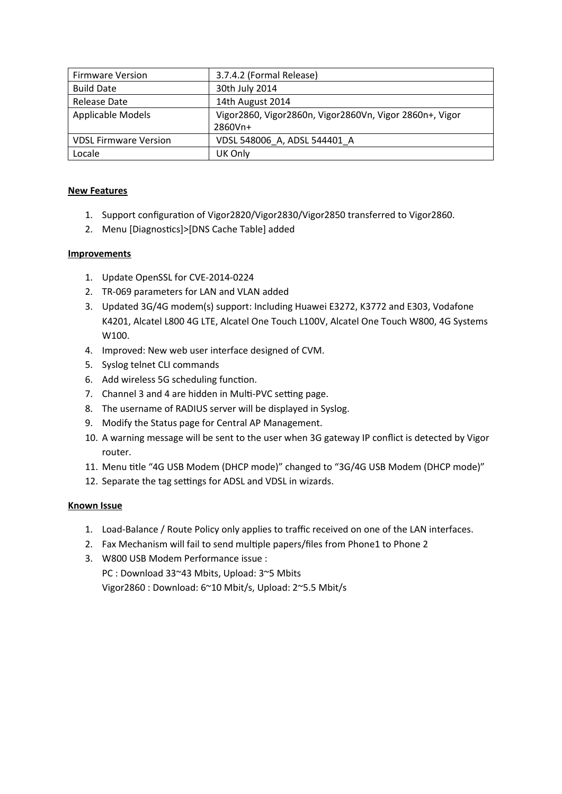| <b>Firmware Version</b>      | 3.7.4.2 (Formal Release)                                |  |
|------------------------------|---------------------------------------------------------|--|
| <b>Build Date</b>            | 30th July 2014                                          |  |
| Release Date                 | 14th August 2014                                        |  |
| Applicable Models            | Vigor2860, Vigor2860n, Vigor2860Vn, Vigor 2860n+, Vigor |  |
|                              | 2860Vn+                                                 |  |
| <b>VDSL Firmware Version</b> | VDSL 548006 A, ADSL 544401 A                            |  |
| Locale                       | UK Only                                                 |  |

- 1. Support confguraton of Vigor2820/Vigor2830/Vigor2850 transferred to Vigor2860.
- 2. Menu [Diagnostics]>[DNS Cache Table] added

## **Improvements**

- 1. Update OpenSSL for CVE-2014-0224
- 2. TR-069 parameters for LAN and VLAN added
- 3. Updated 3G/4G modem(s) support: Including Huawei E3272, K3772 and E303, Vodafone K4201, Alcatel L800 4G LTE, Alcatel One Touch L100V, Alcatel One Touch W800, 4G Systems W100.
- 4. Improved: New web user interface designed of CVM.
- 5. Syslog telnet CLI commands
- 6. Add wireless 5G scheduling function.
- 7. Channel 3 and 4 are hidden in Multi-PVC setting page.
- 8. The username of RADIUS server will be displayed in Syslog.
- 9. Modify the Status page for Central AP Management.
- 10. A warning message will be sent to the user when 3G gateway IP conflict is detected by Vigor router.
- 11. Menu title "4G USB Modem (DHCP mode)" changed to "3G/4G USB Modem (DHCP mode)"
- 12. Separate the tag settings for ADSL and VDSL in wizards.

- 1. Load-Balance / Route Policy only applies to traffic received on one of the LAN interfaces.
- 2. Fax Mechanism will fail to send multiple papers/files from Phone1 to Phone 2
- 3. W800 USB Modem Performance issue : PC : Download 33~43 Mbits, Upload: 3~5 Mbits Vigor2860 : Download: 6~10 Mbit/s, Upload: 2~5.5 Mbit/s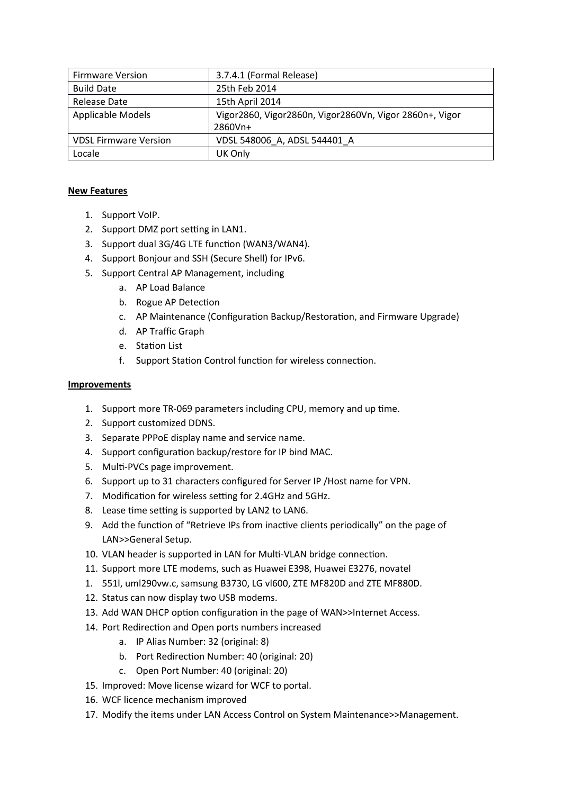| <b>Firmware Version</b>      | 3.7.4.1 (Formal Release)                                |  |
|------------------------------|---------------------------------------------------------|--|
| <b>Build Date</b>            | 25th Feb 2014                                           |  |
| Release Date                 | 15th April 2014                                         |  |
| Applicable Models            | Vigor2860, Vigor2860n, Vigor2860Vn, Vigor 2860n+, Vigor |  |
|                              | 2860Vn+                                                 |  |
| <b>VDSL Firmware Version</b> | VDSL 548006 A, ADSL 544401 A                            |  |
| Locale                       | UK Only                                                 |  |

- 1. Support VoIP.
- 2. Support DMZ port setting in LAN1.
- 3. Support dual 3G/4G LTE function (WAN3/WAN4).
- 4. Support Bonjour and SSH (Secure Shell) for IPv6.
- 5. Support Central AP Management, including
	- a. AP Load Balance
	- b. Rogue AP Detection
	- c. AP Maintenance (Configuration Backup/Restoration, and Firmware Upgrade)
	- d. AP Traffic Graph
	- e. Staton List
	- f. Support Station Control function for wireless connection.

- 1. Support more TR-069 parameters including CPU, memory and up time.
- 2. Support customized DDNS.
- 3. Separate PPPoE display name and service name.
- 4. Support configuration backup/restore for IP bind MAC.
- 5. Multi-PVCs page improvement.
- 6. Support up to 31 characters configured for Server IP / Host name for VPN.
- 7. Modification for wireless setting for 2.4GHz and 5GHz.
- 8. Lease time setting is supported by LAN2 to LAN6.
- 9. Add the function of "Retrieve IPs from inactive clients periodically" on the page of LAN>>General Setup.
- 10. VLAN header is supported in LAN for Multi-VLAN bridge connection.
- 11. Support more LTE modems, such as Huawei E398, Huawei E3276, novatel
- 1. 551l, uml290vw.c, samsung B3730, LG vl600, ZTE MF820D and ZTE MF880D.
- 12. Status can now display two USB modems.
- 13. Add WAN DHCP option configuration in the page of WAN>>Internet Access.
- 14. Port Redirection and Open ports numbers increased
	- a. IP Alias Number: 32 (original: 8)
	- b. Port Redirection Number: 40 (original: 20)
	- c. Open Port Number: 40 (original: 20)
- 15. Improved: Move license wizard for WCF to portal.
- 16. WCF licence mechanism improved
- 17. Modify the items under LAN Access Control on System Maintenance>>Management.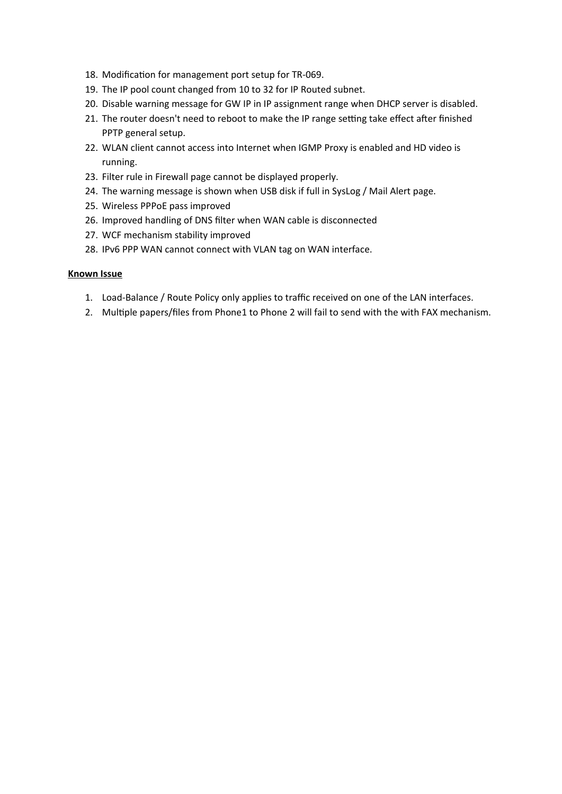- 18. Modification for management port setup for TR-069.
- 19. The IP pool count changed from 10 to 32 for IP Routed subnet.
- 20. Disable warning message for GW IP in IP assignment range when DHCP server is disabled.
- 21. The router doesn't need to reboot to make the IP range setting take effect after finished PPTP general setup.
- 22. WLAN client cannot access into Internet when IGMP Proxy is enabled and HD video is running.
- 23. Filter rule in Firewall page cannot be displayed properly.
- 24. The warning message is shown when USB disk if full in SysLog / Mail Alert page.
- 25. Wireless PPPoE pass improved
- 26. Improved handling of DNS flter when WAN cable is disconnected
- 27. WCF mechanism stability improved
- 28. IPv6 PPP WAN cannot connect with VLAN tag on WAN interface.

- 1. Load-Balance / Route Policy only applies to traffic received on one of the LAN interfaces.
- 2. Multiple papers/files from Phone1 to Phone 2 will fail to send with the with FAX mechanism.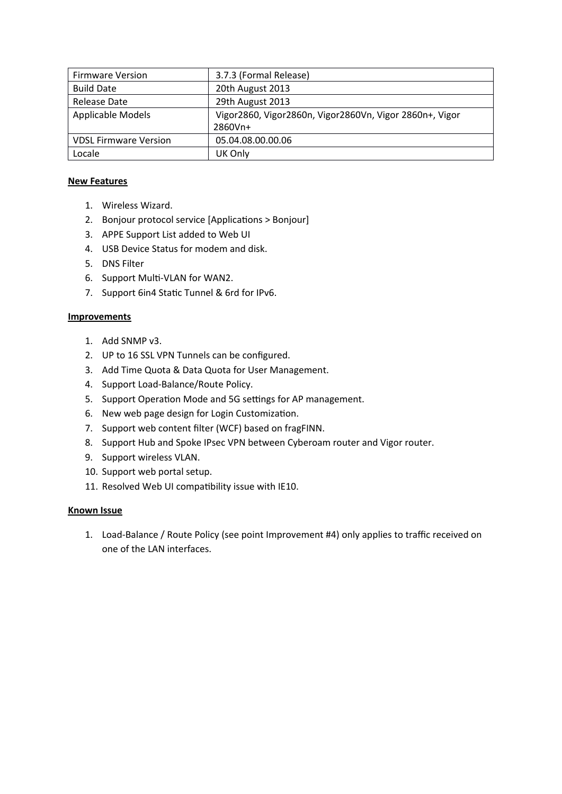| <b>Firmware Version</b>      | 3.7.3 (Formal Release)                                  |  |
|------------------------------|---------------------------------------------------------|--|
| <b>Build Date</b>            | 20th August 2013                                        |  |
| Release Date                 | 29th August 2013                                        |  |
| Applicable Models            | Vigor2860, Vigor2860n, Vigor2860Vn, Vigor 2860n+, Vigor |  |
|                              | 2860Vn+                                                 |  |
| <b>VDSL Firmware Version</b> | 05.04.08.00.00.06                                       |  |
| Locale                       | UK Only                                                 |  |

- 1. Wireless Wizard.
- 2. Bonjour protocol service [Applications > Bonjour]
- 3. APPE Support List added to Web UI
- 4. USB Device Status for modem and disk.
- 5. DNS Filter
- 6. Support Mult-VLAN for WAN2.
- 7. Support 6in4 Static Tunnel & 6rd for IPv6.

# **Improvements**

- 1. Add SNMP v3.
- 2. UP to 16 SSL VPN Tunnels can be configured.
- 3. Add Time Quota & Data Quota for User Management.
- 4. Support Load-Balance/Route Policy.
- 5. Support Operation Mode and 5G settings for AP management.
- 6. New web page design for Login Customizaton.
- 7. Support web content flter (WCF) based on fragFINN.
- 8. Support Hub and Spoke IPsec VPN between Cyberoam router and Vigor router.
- 9. Support wireless VLAN.
- 10. Support web portal setup.
- 11. Resolved Web UI compatbility issue with IE10.

# **Known Issue**

1. Load-Balance / Route Policy (see point Improvement #4) only applies to traffic received on one of the LAN interfaces.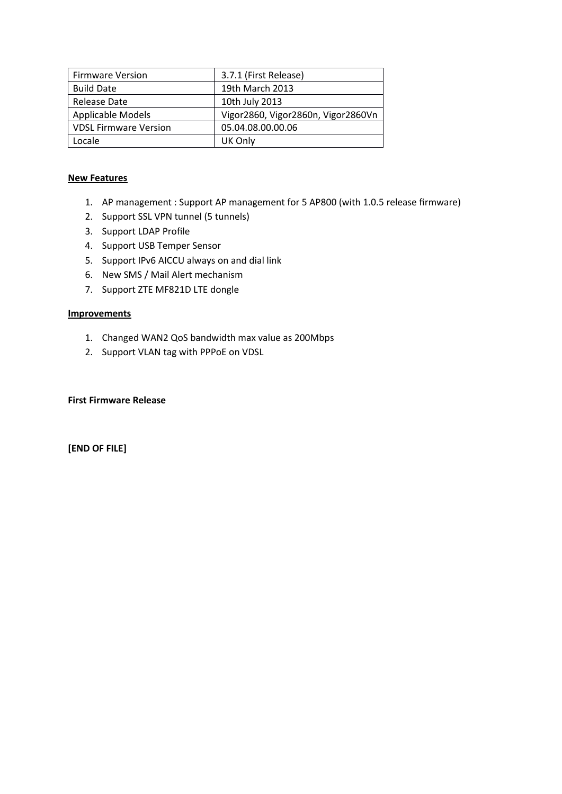| <b>Firmware Version</b>      | 3.7.1 (First Release)              |
|------------------------------|------------------------------------|
| <b>Build Date</b>            | 19th March 2013                    |
| Release Date                 | 10th July 2013                     |
| Applicable Models            | Vigor2860, Vigor2860n, Vigor2860Vn |
| <b>VDSL Firmware Version</b> | 05.04.08.00.00.06                  |
| Locale                       | UK Only                            |

- 1. AP management : Support AP management for 5 AP800 (with 1.0.5 release firmware)
- 2. Support SSL VPN tunnel (5 tunnels)
- 3. Support LDAP Profile
- 4. Support USB Temper Sensor
- 5. Support IPv6 AICCU always on and dial link
- 6. New SMS / Mail Alert mechanism
- 7. Support ZTE MF821D LTE dongle

#### **Improvements**

- 1. Changed WAN2 QoS bandwidth max value as 200Mbps
- 2. Support VLAN tag with PPPoE on VDSL

#### **First Firmware Release**

**[END OF FILE]**